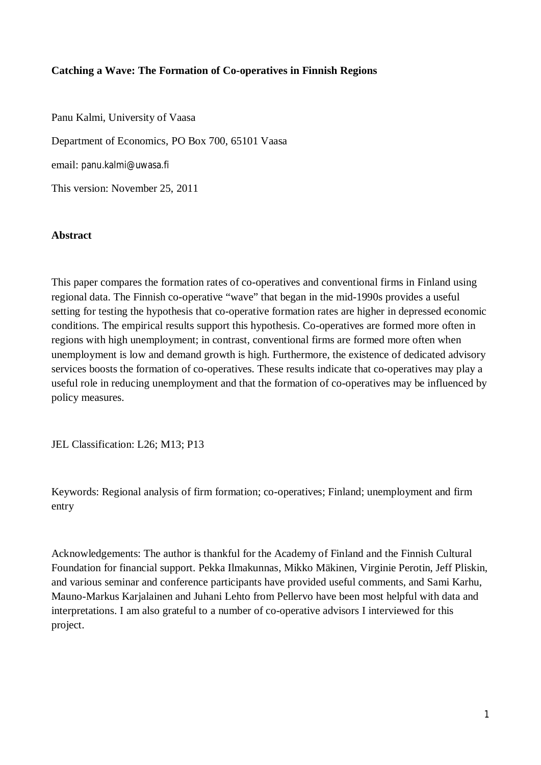# **Catching a Wave: The Formation of Co-operatives in Finnish Regions**

Panu Kalmi, University of Vaasa Department of Economics, PO Box 700, 65101 Vaasa email: panu.kalmi@uwasa.fi This version: November 25, 2011

## **Abstract**

This paper compares the formation rates of co-operatives and conventional firms in Finland using regional data. The Finnish co-operative "wave" that began in the mid-1990s provides a useful setting for testing the hypothesis that co-operative formation rates are higher in depressed economic conditions. The empirical results support this hypothesis. Co-operatives are formed more often in regions with high unemployment; in contrast, conventional firms are formed more often when unemployment is low and demand growth is high. Furthermore, the existence of dedicated advisory services boosts the formation of co-operatives. These results indicate that co-operatives may play a useful role in reducing unemployment and that the formation of co-operatives may be influenced by policy measures.

JEL Classification: L26; M13; P13

Keywords: Regional analysis of firm formation; co-operatives; Finland; unemployment and firm entry

Acknowledgements: The author is thankful for the Academy of Finland and the Finnish Cultural Foundation for financial support. Pekka Ilmakunnas, Mikko Mäkinen, Virginie Perotin, Jeff Pliskin, and various seminar and conference participants have provided useful comments, and Sami Karhu, Mauno-Markus Karjalainen and Juhani Lehto from Pellervo have been most helpful with data and interpretations. I am also grateful to a number of co-operative advisors I interviewed for this project.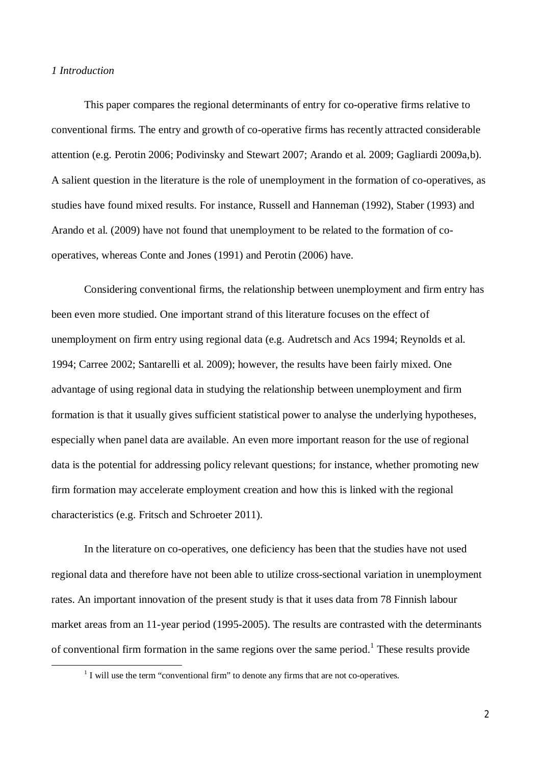#### *1 Introduction*

<u>.</u>

This paper compares the regional determinants of entry for co-operative firms relative to conventional firms. The entry and growth of co-operative firms has recently attracted considerable attention (e.g. Perotin 2006; Podivinsky and Stewart 2007; Arando et al. 2009; Gagliardi 2009a,b). A salient question in the literature is the role of unemployment in the formation of co-operatives, as studies have found mixed results. For instance, Russell and Hanneman (1992), Staber (1993) and Arando et al. (2009) have not found that unemployment to be related to the formation of cooperatives, whereas Conte and Jones (1991) and Perotin (2006) have.

Considering conventional firms, the relationship between unemployment and firm entry has been even more studied. One important strand of this literature focuses on the effect of unemployment on firm entry using regional data (e.g. Audretsch and Acs 1994; Reynolds et al. 1994; Carree 2002; Santarelli et al. 2009); however, the results have been fairly mixed. One advantage of using regional data in studying the relationship between unemployment and firm formation is that it usually gives sufficient statistical power to analyse the underlying hypotheses, especially when panel data are available. An even more important reason for the use of regional data is the potential for addressing policy relevant questions; for instance, whether promoting new firm formation may accelerate employment creation and how this is linked with the regional characteristics (e.g. Fritsch and Schroeter 2011).

In the literature on co-operatives, one deficiency has been that the studies have not used regional data and therefore have not been able to utilize cross-sectional variation in unemployment rates. An important innovation of the present study is that it uses data from 78 Finnish labour market areas from an 11-year period (1995-2005). The results are contrasted with the determinants of conventional firm formation in the same regions over the same period.<sup>1</sup> These results provide

 $<sup>1</sup>$  I will use the term "conventional firm" to denote any firms that are not co-operatives.</sup>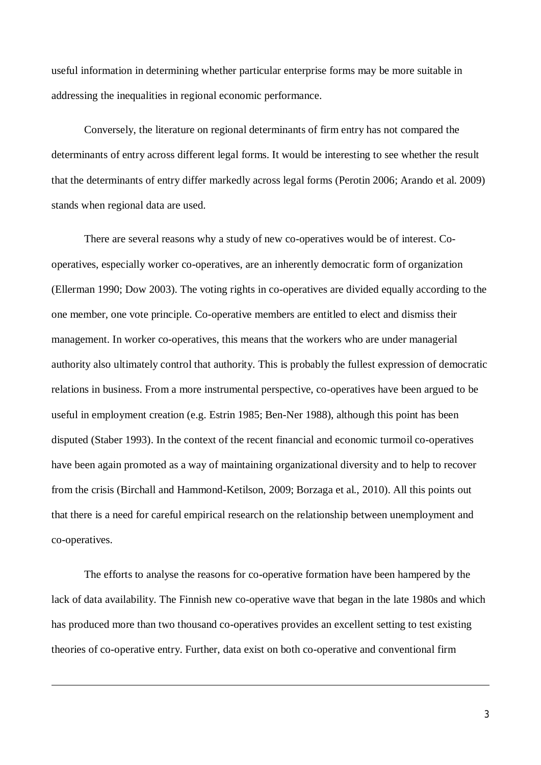useful information in determining whether particular enterprise forms may be more suitable in addressing the inequalities in regional economic performance.

Conversely, the literature on regional determinants of firm entry has not compared the determinants of entry across different legal forms. It would be interesting to see whether the result that the determinants of entry differ markedly across legal forms (Perotin 2006; Arando et al. 2009) stands when regional data are used.

There are several reasons why a study of new co-operatives would be of interest. Cooperatives, especially worker co-operatives, are an inherently democratic form of organization (Ellerman 1990; Dow 2003). The voting rights in co-operatives are divided equally according to the one member, one vote principle. Co-operative members are entitled to elect and dismiss their management. In worker co-operatives, this means that the workers who are under managerial authority also ultimately control that authority. This is probably the fullest expression of democratic relations in business. From a more instrumental perspective, co-operatives have been argued to be useful in employment creation (e.g. Estrin 1985; Ben-Ner 1988), although this point has been disputed (Staber 1993). In the context of the recent financial and economic turmoil co-operatives have been again promoted as a way of maintaining organizational diversity and to help to recover from the crisis (Birchall and Hammond-Ketilson, 2009; Borzaga et al., 2010). All this points out that there is a need for careful empirical research on the relationship between unemployment and co-operatives.

The efforts to analyse the reasons for co-operative formation have been hampered by the lack of data availability. The Finnish new co-operative wave that began in the late 1980s and which has produced more than two thousand co-operatives provides an excellent setting to test existing theories of co-operative entry. Further, data exist on both co-operative and conventional firm

**.**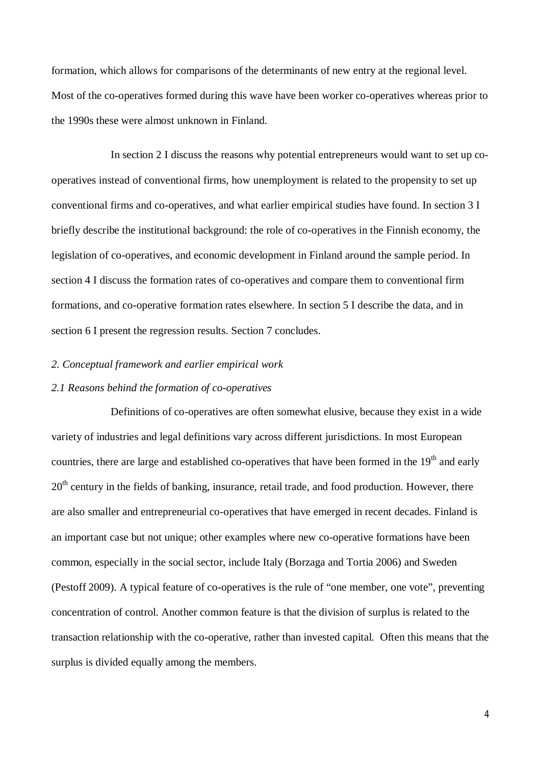formation, which allows for comparisons of the determinants of new entry at the regional level. Most of the co-operatives formed during this wave have been worker co-operatives whereas prior to the 1990s these were almost unknown in Finland.

In section 2 I discuss the reasons why potential entrepreneurs would want to set up cooperatives instead of conventional firms, how unemployment is related to the propensity to set up conventional firms and co-operatives, and what earlier empirical studies have found. In section 3 I briefly describe the institutional background: the role of co-operatives in the Finnish economy, the legislation of co-operatives, and economic development in Finland around the sample period. In section 4 I discuss the formation rates of co-operatives and compare them to conventional firm formations, and co-operative formation rates elsewhere. In section 5 I describe the data, and in section 6 I present the regression results. Section 7 concludes.

## *2. Conceptual framework and earlier empirical work*

#### *2.1 Reasons behind the formation of co-operatives*

Definitions of co-operatives are often somewhat elusive, because they exist in a wide variety of industries and legal definitions vary across different jurisdictions. In most European countries, there are large and established co-operatives that have been formed in the 19<sup>th</sup> and early  $20<sup>th</sup>$  century in the fields of banking, insurance, retail trade, and food production. However, there are also smaller and entrepreneurial co-operatives that have emerged in recent decades. Finland is an important case but not unique; other examples where new co-operative formations have been common, especially in the social sector, include Italy (Borzaga and Tortia 2006) and Sweden (Pestoff 2009). A typical feature of co-operatives is the rule of "one member, one vote", preventing concentration of control. Another common feature is that the division of surplus is related to the transaction relationship with the co-operative, rather than invested capital. Often this means that the surplus is divided equally among the members.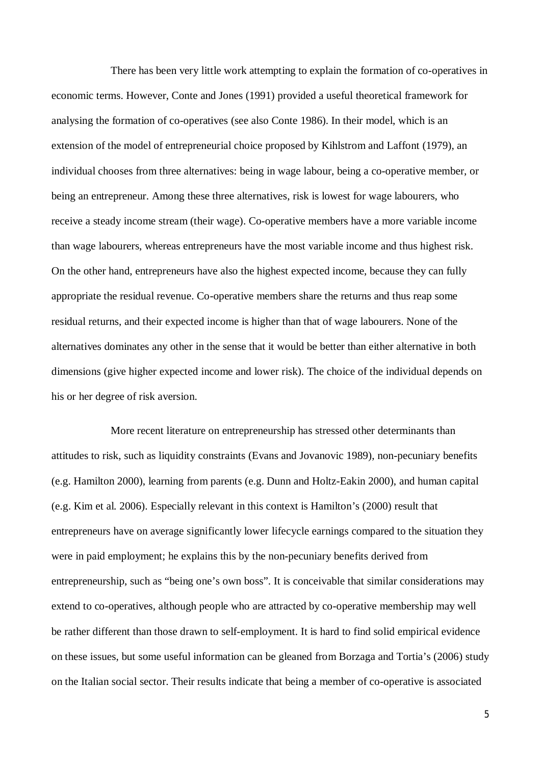There has been very little work attempting to explain the formation of co-operatives in economic terms. However, Conte and Jones (1991) provided a useful theoretical framework for analysing the formation of co-operatives (see also Conte 1986). In their model, which is an extension of the model of entrepreneurial choice proposed by Kihlstrom and Laffont (1979), an individual chooses from three alternatives: being in wage labour, being a co-operative member, or being an entrepreneur. Among these three alternatives, risk is lowest for wage labourers, who receive a steady income stream (their wage). Co-operative members have a more variable income than wage labourers, whereas entrepreneurs have the most variable income and thus highest risk. On the other hand, entrepreneurs have also the highest expected income, because they can fully appropriate the residual revenue. Co-operative members share the returns and thus reap some residual returns, and their expected income is higher than that of wage labourers. None of the alternatives dominates any other in the sense that it would be better than either alternative in both dimensions (give higher expected income and lower risk). The choice of the individual depends on his or her degree of risk aversion.

More recent literature on entrepreneurship has stressed other determinants than attitudes to risk, such as liquidity constraints (Evans and Jovanovic 1989), non-pecuniary benefits (e.g. Hamilton 2000), learning from parents (e.g. Dunn and Holtz-Eakin 2000), and human capital (e.g. Kim et al. 2006). Especially relevant in this context is Hamilton's (2000) result that entrepreneurs have on average significantly lower lifecycle earnings compared to the situation they were in paid employment; he explains this by the non-pecuniary benefits derived from entrepreneurship, such as "being one's own boss". It is conceivable that similar considerations may extend to co-operatives, although people who are attracted by co-operative membership may well be rather different than those drawn to self-employment. It is hard to find solid empirical evidence on these issues, but some useful information can be gleaned from Borzaga and Tortia's (2006) study on the Italian social sector. Their results indicate that being a member of co-operative is associated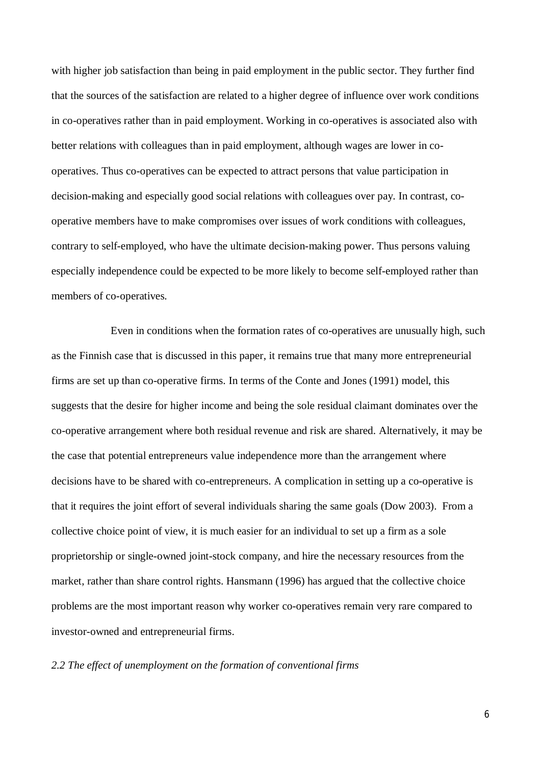with higher job satisfaction than being in paid employment in the public sector. They further find that the sources of the satisfaction are related to a higher degree of influence over work conditions in co-operatives rather than in paid employment. Working in co-operatives is associated also with better relations with colleagues than in paid employment, although wages are lower in cooperatives. Thus co-operatives can be expected to attract persons that value participation in decision-making and especially good social relations with colleagues over pay. In contrast, cooperative members have to make compromises over issues of work conditions with colleagues, contrary to self-employed, who have the ultimate decision-making power. Thus persons valuing especially independence could be expected to be more likely to become self-employed rather than members of co-operatives.

Even in conditions when the formation rates of co-operatives are unusually high, such as the Finnish case that is discussed in this paper, it remains true that many more entrepreneurial firms are set up than co-operative firms. In terms of the Conte and Jones (1991) model, this suggests that the desire for higher income and being the sole residual claimant dominates over the co-operative arrangement where both residual revenue and risk are shared. Alternatively, it may be the case that potential entrepreneurs value independence more than the arrangement where decisions have to be shared with co-entrepreneurs. A complication in setting up a co-operative is that it requires the joint effort of several individuals sharing the same goals (Dow 2003). From a collective choice point of view, it is much easier for an individual to set up a firm as a sole proprietorship or single-owned joint-stock company, and hire the necessary resources from the market, rather than share control rights. Hansmann (1996) has argued that the collective choice problems are the most important reason why worker co-operatives remain very rare compared to investor-owned and entrepreneurial firms.

*2.2 The effect of unemployment on the formation of conventional firms*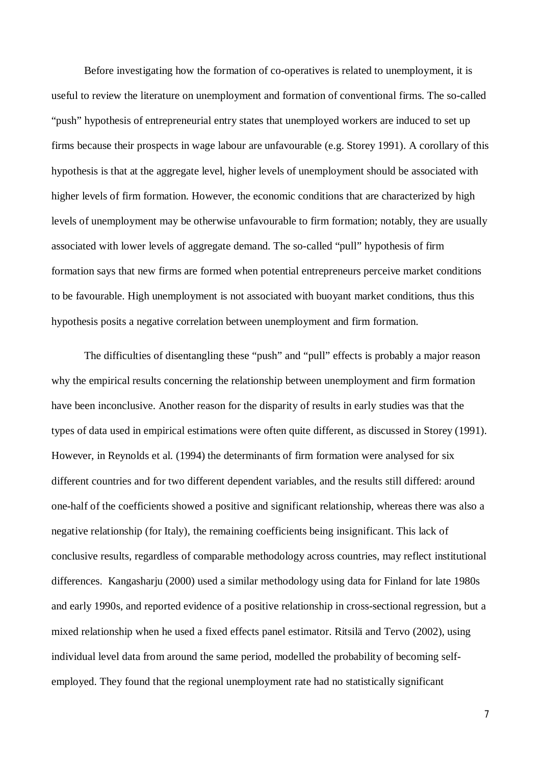Before investigating how the formation of co-operatives is related to unemployment, it is useful to review the literature on unemployment and formation of conventional firms. The so-called "push" hypothesis of entrepreneurial entry states that unemployed workers are induced to set up firms because their prospects in wage labour are unfavourable (e.g. Storey 1991). A corollary of this hypothesis is that at the aggregate level, higher levels of unemployment should be associated with higher levels of firm formation. However, the economic conditions that are characterized by high levels of unemployment may be otherwise unfavourable to firm formation; notably, they are usually associated with lower levels of aggregate demand. The so-called "pull" hypothesis of firm formation says that new firms are formed when potential entrepreneurs perceive market conditions to be favourable. High unemployment is not associated with buoyant market conditions, thus this hypothesis posits a negative correlation between unemployment and firm formation.

The difficulties of disentangling these "push" and "pull" effects is probably a major reason why the empirical results concerning the relationship between unemployment and firm formation have been inconclusive. Another reason for the disparity of results in early studies was that the types of data used in empirical estimations were often quite different, as discussed in Storey (1991). However, in Reynolds et al. (1994) the determinants of firm formation were analysed for six different countries and for two different dependent variables, and the results still differed: around one-half of the coefficients showed a positive and significant relationship, whereas there was also a negative relationship (for Italy), the remaining coefficients being insignificant. This lack of conclusive results, regardless of comparable methodology across countries, may reflect institutional differences. Kangasharju (2000) used a similar methodology using data for Finland for late 1980s and early 1990s, and reported evidence of a positive relationship in cross-sectional regression, but a mixed relationship when he used a fixed effects panel estimator. Ritsilä and Tervo (2002), using individual level data from around the same period, modelled the probability of becoming selfemployed. They found that the regional unemployment rate had no statistically significant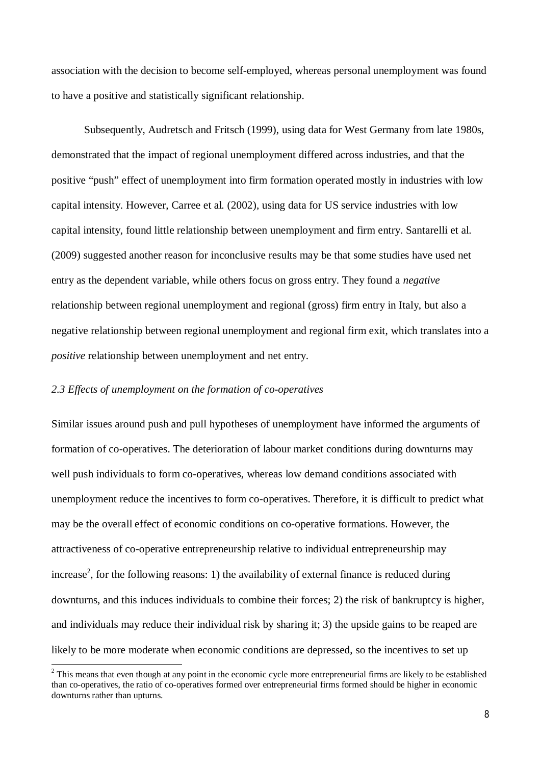association with the decision to become self-employed, whereas personal unemployment was found to have a positive and statistically significant relationship.

Subsequently, Audretsch and Fritsch (1999), using data for West Germany from late 1980s, demonstrated that the impact of regional unemployment differed across industries, and that the positive "push" effect of unemployment into firm formation operated mostly in industries with low capital intensity. However, Carree et al. (2002), using data for US service industries with low capital intensity, found little relationship between unemployment and firm entry. Santarelli et al. (2009) suggested another reason for inconclusive results may be that some studies have used net entry as the dependent variable, while others focus on gross entry. They found a *negative* relationship between regional unemployment and regional (gross) firm entry in Italy, but also a negative relationship between regional unemployment and regional firm exit, which translates into a *positive* relationship between unemployment and net entry.

#### *2.3 Effects of unemployment on the formation of co-operatives*

Similar issues around push and pull hypotheses of unemployment have informed the arguments of formation of co-operatives. The deterioration of labour market conditions during downturns may well push individuals to form co-operatives, whereas low demand conditions associated with unemployment reduce the incentives to form co-operatives. Therefore, it is difficult to predict what may be the overall effect of economic conditions on co-operative formations. However, the attractiveness of co-operative entrepreneurship relative to individual entrepreneurship may increase<sup>2</sup>, for the following reasons: 1) the availability of external finance is reduced during downturns, and this induces individuals to combine their forces; 2) the risk of bankruptcy is higher, and individuals may reduce their individual risk by sharing it; 3) the upside gains to be reaped are likely to be more moderate when economic conditions are depressed, so the incentives to set up

<sup>&</sup>lt;sup>2</sup> This means that even though at any point in the economic cycle more entrepreneurial firms are likely to be established than co-operatives, the ratio of co-operatives formed over entrepreneurial firms formed should be higher in economic downturns rather than upturns.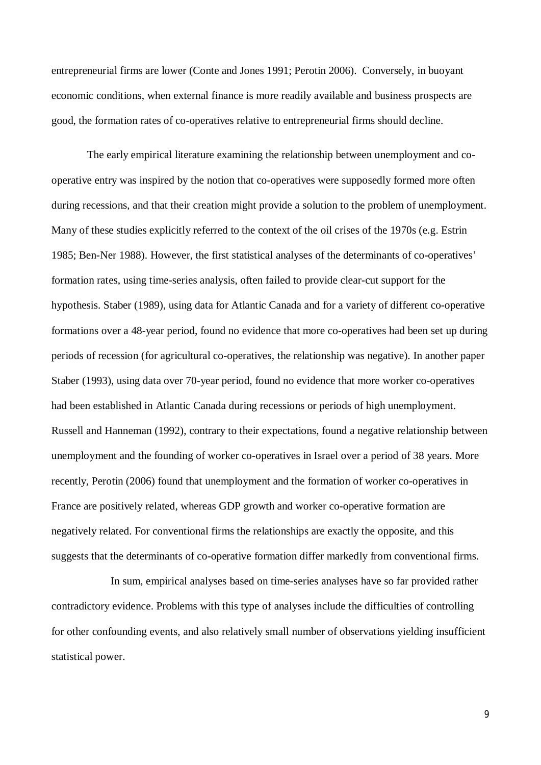entrepreneurial firms are lower (Conte and Jones 1991; Perotin 2006). Conversely, in buoyant economic conditions, when external finance is more readily available and business prospects are good, the formation rates of co-operatives relative to entrepreneurial firms should decline.

 The early empirical literature examining the relationship between unemployment and cooperative entry was inspired by the notion that co-operatives were supposedly formed more often during recessions, and that their creation might provide a solution to the problem of unemployment. Many of these studies explicitly referred to the context of the oil crises of the 1970s (e.g. Estrin 1985; Ben-Ner 1988). However, the first statistical analyses of the determinants of co-operatives' formation rates, using time-series analysis, often failed to provide clear-cut support for the hypothesis. Staber (1989), using data for Atlantic Canada and for a variety of different co-operative formations over a 48-year period, found no evidence that more co-operatives had been set up during periods of recession (for agricultural co-operatives, the relationship was negative). In another paper Staber (1993), using data over 70-year period, found no evidence that more worker co-operatives had been established in Atlantic Canada during recessions or periods of high unemployment. Russell and Hanneman (1992), contrary to their expectations, found a negative relationship between unemployment and the founding of worker co-operatives in Israel over a period of 38 years. More recently, Perotin (2006) found that unemployment and the formation of worker co-operatives in France are positively related, whereas GDP growth and worker co-operative formation are negatively related. For conventional firms the relationships are exactly the opposite, and this suggests that the determinants of co-operative formation differ markedly from conventional firms.

In sum, empirical analyses based on time-series analyses have so far provided rather contradictory evidence. Problems with this type of analyses include the difficulties of controlling for other confounding events, and also relatively small number of observations yielding insufficient statistical power.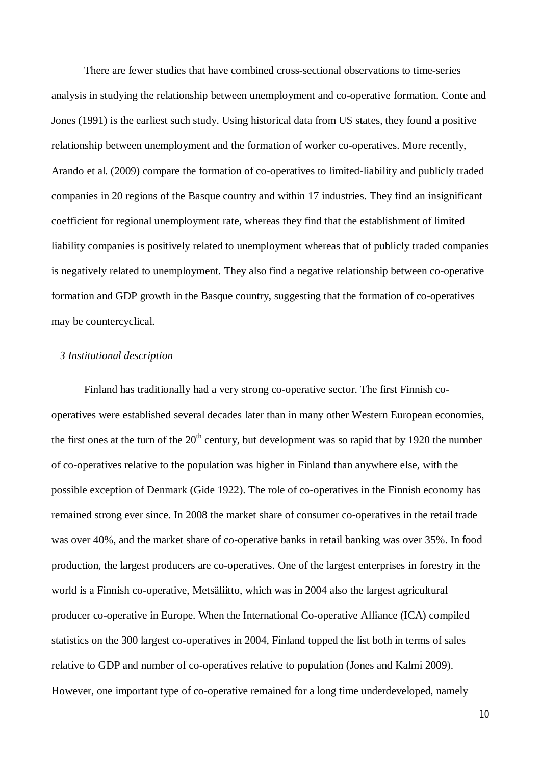There are fewer studies that have combined cross-sectional observations to time-series analysis in studying the relationship between unemployment and co-operative formation. Conte and Jones (1991) is the earliest such study. Using historical data from US states, they found a positive relationship between unemployment and the formation of worker co-operatives. More recently, Arando et al. (2009) compare the formation of co-operatives to limited-liability and publicly traded companies in 20 regions of the Basque country and within 17 industries. They find an insignificant coefficient for regional unemployment rate, whereas they find that the establishment of limited liability companies is positively related to unemployment whereas that of publicly traded companies is negatively related to unemployment. They also find a negative relationship between co-operative formation and GDP growth in the Basque country, suggesting that the formation of co-operatives may be countercyclical.

# *3 Institutional description*

Finland has traditionally had a very strong co-operative sector. The first Finnish cooperatives were established several decades later than in many other Western European economies, the first ones at the turn of the  $20<sup>th</sup>$  century, but development was so rapid that by 1920 the number of co-operatives relative to the population was higher in Finland than anywhere else, with the possible exception of Denmark (Gide 1922). The role of co-operatives in the Finnish economy has remained strong ever since. In 2008 the market share of consumer co-operatives in the retail trade was over 40%, and the market share of co-operative banks in retail banking was over 35%. In food production, the largest producers are co-operatives. One of the largest enterprises in forestry in the world is a Finnish co-operative, Metsäliitto, which was in 2004 also the largest agricultural producer co-operative in Europe. When the International Co-operative Alliance (ICA) compiled statistics on the 300 largest co-operatives in 2004, Finland topped the list both in terms of sales relative to GDP and number of co-operatives relative to population (Jones and Kalmi 2009). However, one important type of co-operative remained for a long time underdeveloped, namely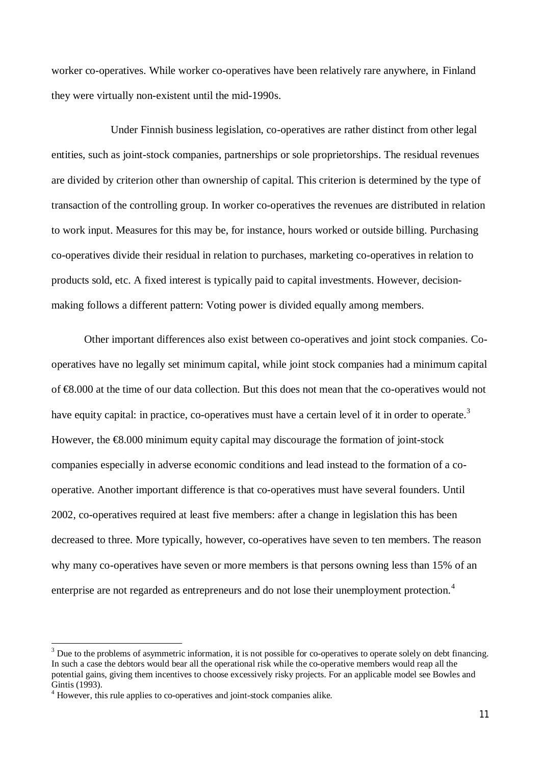worker co-operatives. While worker co-operatives have been relatively rare anywhere, in Finland they were virtually non-existent until the mid-1990s.

Under Finnish business legislation, co-operatives are rather distinct from other legal entities, such as joint-stock companies, partnerships or sole proprietorships. The residual revenues are divided by criterion other than ownership of capital. This criterion is determined by the type of transaction of the controlling group. In worker co-operatives the revenues are distributed in relation to work input. Measures for this may be, for instance, hours worked or outside billing. Purchasing co-operatives divide their residual in relation to purchases, marketing co-operatives in relation to products sold, etc. A fixed interest is typically paid to capital investments. However, decisionmaking follows a different pattern: Voting power is divided equally among members.

Other important differences also exist between co-operatives and joint stock companies. Cooperatives have no legally set minimum capital, while joint stock companies had a minimum capital of €8.000 at the time of our data collection. But this does not mean that the co-operatives would not have equity capital: in practice, co-operatives must have a certain level of it in order to operate.<sup>3</sup> However, the €8.000 minimum equity capital may discourage the formation of joint-stock companies especially in adverse economic conditions and lead instead to the formation of a cooperative. Another important difference is that co-operatives must have several founders. Until 2002, co-operatives required at least five members: after a change in legislation this has been decreased to three. More typically, however, co-operatives have seven to ten members. The reason why many co-operatives have seven or more members is that persons owning less than 15% of an enterprise are not regarded as entrepreneurs and do not lose their unemployment protection.<sup>4</sup>

**.** 

 $3$  Due to the problems of asymmetric information, it is not possible for co-operatives to operate solely on debt financing. In such a case the debtors would bear all the operational risk while the co-operative members would reap all the potential gains, giving them incentives to choose excessively risky projects. For an applicable model see Bowles and Gintis (1993).

<sup>&</sup>lt;sup>4</sup> However, this rule applies to co-operatives and joint-stock companies alike.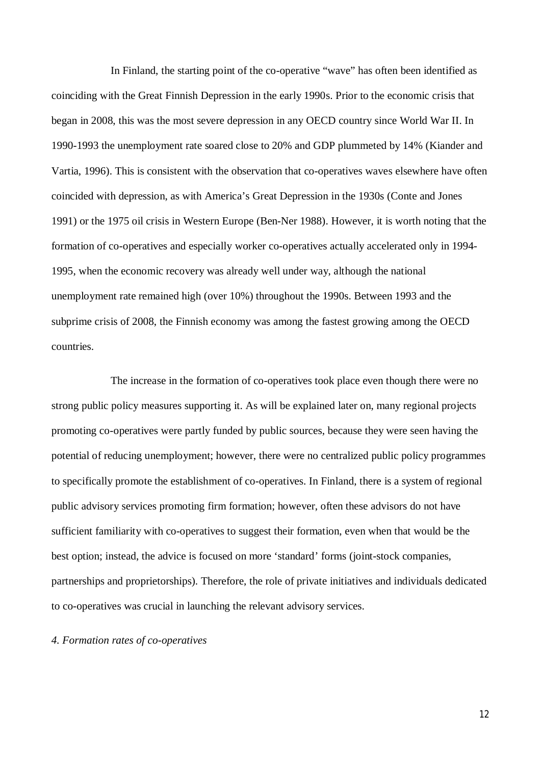In Finland, the starting point of the co-operative "wave" has often been identified as coinciding with the Great Finnish Depression in the early 1990s. Prior to the economic crisis that began in 2008, this was the most severe depression in any OECD country since World War II. In 1990-1993 the unemployment rate soared close to 20% and GDP plummeted by 14% (Kiander and Vartia, 1996). This is consistent with the observation that co-operatives waves elsewhere have often coincided with depression, as with America's Great Depression in the 1930s (Conte and Jones 1991) or the 1975 oil crisis in Western Europe (Ben-Ner 1988). However, it is worth noting that the formation of co-operatives and especially worker co-operatives actually accelerated only in 1994- 1995, when the economic recovery was already well under way, although the national unemployment rate remained high (over 10%) throughout the 1990s. Between 1993 and the subprime crisis of 2008, the Finnish economy was among the fastest growing among the OECD countries.

The increase in the formation of co-operatives took place even though there were no strong public policy measures supporting it. As will be explained later on, many regional projects promoting co-operatives were partly funded by public sources, because they were seen having the potential of reducing unemployment; however, there were no centralized public policy programmes to specifically promote the establishment of co-operatives. In Finland, there is a system of regional public advisory services promoting firm formation; however, often these advisors do not have sufficient familiarity with co-operatives to suggest their formation, even when that would be the best option; instead, the advice is focused on more 'standard' forms (joint-stock companies, partnerships and proprietorships). Therefore, the role of private initiatives and individuals dedicated to co-operatives was crucial in launching the relevant advisory services.

#### *4. Formation rates of co-operatives*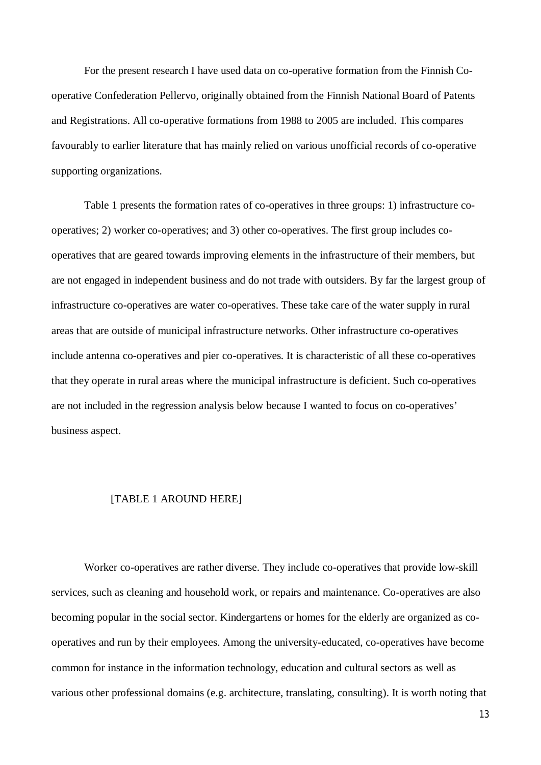For the present research I have used data on co-operative formation from the Finnish Cooperative Confederation Pellervo, originally obtained from the Finnish National Board of Patents and Registrations. All co-operative formations from 1988 to 2005 are included. This compares favourably to earlier literature that has mainly relied on various unofficial records of co-operative supporting organizations.

Table 1 presents the formation rates of co-operatives in three groups: 1) infrastructure cooperatives; 2) worker co-operatives; and 3) other co-operatives. The first group includes cooperatives that are geared towards improving elements in the infrastructure of their members, but are not engaged in independent business and do not trade with outsiders. By far the largest group of infrastructure co-operatives are water co-operatives. These take care of the water supply in rural areas that are outside of municipal infrastructure networks. Other infrastructure co-operatives include antenna co-operatives and pier co-operatives. It is characteristic of all these co-operatives that they operate in rural areas where the municipal infrastructure is deficient. Such co-operatives are not included in the regression analysis below because I wanted to focus on co-operatives' business aspect.

#### [TABLE 1 AROUND HERE]

Worker co-operatives are rather diverse. They include co-operatives that provide low-skill services, such as cleaning and household work, or repairs and maintenance. Co-operatives are also becoming popular in the social sector. Kindergartens or homes for the elderly are organized as cooperatives and run by their employees. Among the university-educated, co-operatives have become common for instance in the information technology, education and cultural sectors as well as various other professional domains (e.g. architecture, translating, consulting). It is worth noting that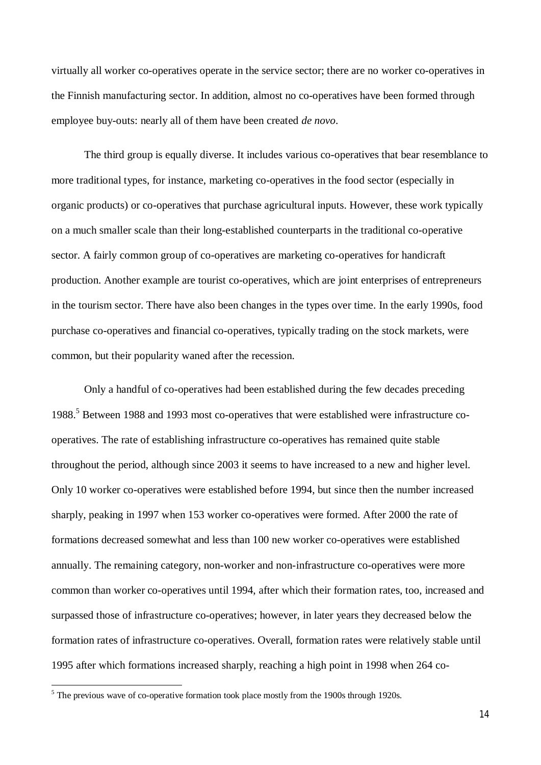virtually all worker co-operatives operate in the service sector; there are no worker co-operatives in the Finnish manufacturing sector. In addition, almost no co-operatives have been formed through employee buy-outs: nearly all of them have been created *de novo*.

The third group is equally diverse. It includes various co-operatives that bear resemblance to more traditional types, for instance, marketing co-operatives in the food sector (especially in organic products) or co-operatives that purchase agricultural inputs. However, these work typically on a much smaller scale than their long-established counterparts in the traditional co-operative sector. A fairly common group of co-operatives are marketing co-operatives for handicraft production. Another example are tourist co-operatives, which are joint enterprises of entrepreneurs in the tourism sector. There have also been changes in the types over time. In the early 1990s, food purchase co-operatives and financial co-operatives, typically trading on the stock markets, were common, but their popularity waned after the recession.

Only a handful of co-operatives had been established during the few decades preceding 1988.<sup>5</sup> Between 1988 and 1993 most co-operatives that were established were infrastructure cooperatives. The rate of establishing infrastructure co-operatives has remained quite stable throughout the period, although since 2003 it seems to have increased to a new and higher level. Only 10 worker co-operatives were established before 1994, but since then the number increased sharply, peaking in 1997 when 153 worker co-operatives were formed. After 2000 the rate of formations decreased somewhat and less than 100 new worker co-operatives were established annually. The remaining category, non-worker and non-infrastructure co-operatives were more common than worker co-operatives until 1994, after which their formation rates, too, increased and surpassed those of infrastructure co-operatives; however, in later years they decreased below the formation rates of infrastructure co-operatives. Overall, formation rates were relatively stable until 1995 after which formations increased sharply, reaching a high point in 1998 when 264 co-

<sup>&</sup>lt;sup>5</sup> The previous wave of co-operative formation took place mostly from the 1900s through 1920s.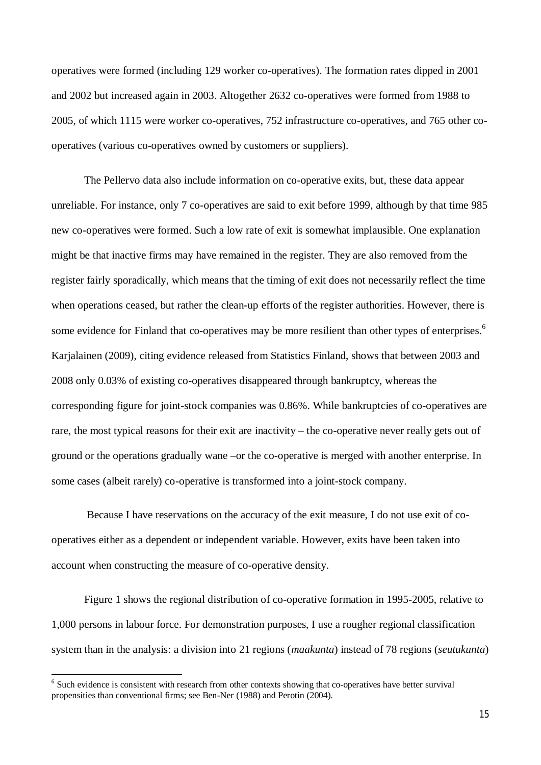operatives were formed (including 129 worker co-operatives). The formation rates dipped in 2001 and 2002 but increased again in 2003. Altogether 2632 co-operatives were formed from 1988 to 2005, of which 1115 were worker co-operatives, 752 infrastructure co-operatives, and 765 other cooperatives (various co-operatives owned by customers or suppliers).

The Pellervo data also include information on co-operative exits, but, these data appear unreliable. For instance, only 7 co-operatives are said to exit before 1999, although by that time 985 new co-operatives were formed. Such a low rate of exit is somewhat implausible. One explanation might be that inactive firms may have remained in the register. They are also removed from the register fairly sporadically, which means that the timing of exit does not necessarily reflect the time when operations ceased, but rather the clean-up efforts of the register authorities. However, there is some evidence for Finland that co-operatives may be more resilient than other types of enterprises.<sup>6</sup> Karjalainen (2009), citing evidence released from Statistics Finland, shows that between 2003 and 2008 only 0.03% of existing co-operatives disappeared through bankruptcy, whereas the corresponding figure for joint-stock companies was 0.86%. While bankruptcies of co-operatives are rare, the most typical reasons for their exit are inactivity – the co-operative never really gets out of ground or the operations gradually wane –or the co-operative is merged with another enterprise. In some cases (albeit rarely) co-operative is transformed into a joint-stock company.

 Because I have reservations on the accuracy of the exit measure, I do not use exit of cooperatives either as a dependent or independent variable. However, exits have been taken into account when constructing the measure of co-operative density.

Figure 1 shows the regional distribution of co-operative formation in 1995-2005, relative to 1,000 persons in labour force. For demonstration purposes, I use a rougher regional classification system than in the analysis: a division into 21 regions (*maakunta*) instead of 78 regions (*seutukunta*)

<u>.</u>

<sup>&</sup>lt;sup>6</sup> Such evidence is consistent with research from other contexts showing that co-operatives have better survival propensities than conventional firms; see Ben-Ner (1988) and Perotin (2004).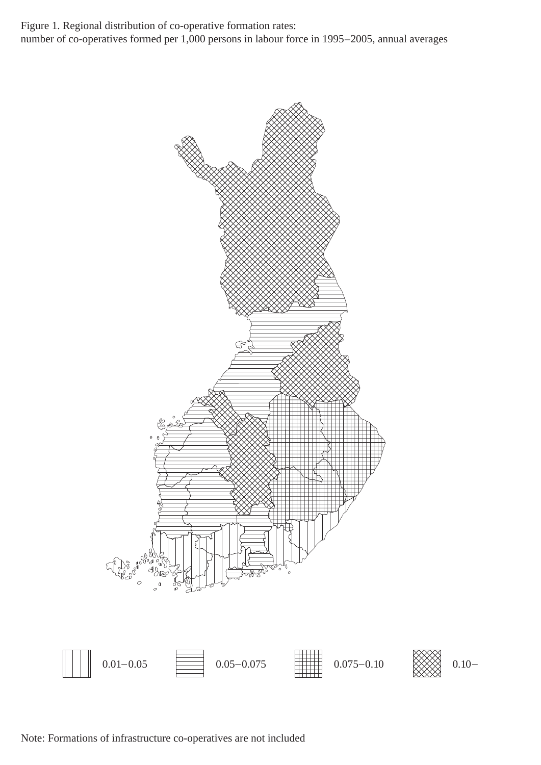Figure 1. Regional distribution of co-operative formation rates: number of co-operatives formed per 1,000 persons in labour force in 1995–2005, annual averages



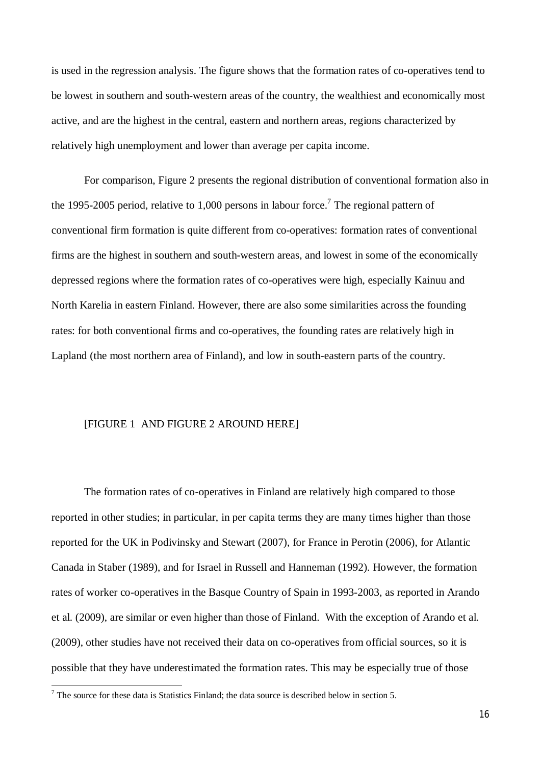is used in the regression analysis. The figure shows that the formation rates of co-operatives tend to be lowest in southern and south-western areas of the country, the wealthiest and economically most active, and are the highest in the central, eastern and northern areas, regions characterized by relatively high unemployment and lower than average per capita income.

For comparison, Figure 2 presents the regional distribution of conventional formation also in the 1995-2005 period, relative to 1,000 persons in labour force.<sup>7</sup> The regional pattern of conventional firm formation is quite different from co-operatives: formation rates of conventional firms are the highest in southern and south-western areas, and lowest in some of the economically depressed regions where the formation rates of co-operatives were high, especially Kainuu and North Karelia in eastern Finland. However, there are also some similarities across the founding rates: for both conventional firms and co-operatives, the founding rates are relatively high in Lapland (the most northern area of Finland), and low in south-eastern parts of the country.

#### [FIGURE 1 AND FIGURE 2 AROUND HERE]

The formation rates of co-operatives in Finland are relatively high compared to those reported in other studies; in particular, in per capita terms they are many times higher than those reported for the UK in Podivinsky and Stewart (2007), for France in Perotin (2006), for Atlantic Canada in Staber (1989), and for Israel in Russell and Hanneman (1992). However, the formation rates of worker co-operatives in the Basque Country of Spain in 1993-2003, as reported in Arando et al. (2009), are similar or even higher than those of Finland. With the exception of Arando et al. (2009), other studies have not received their data on co-operatives from official sources, so it is possible that they have underestimated the formation rates. This may be especially true of those

**.** 

 $<sup>7</sup>$  The source for these data is Statistics Finland; the data source is described below in section 5.</sup>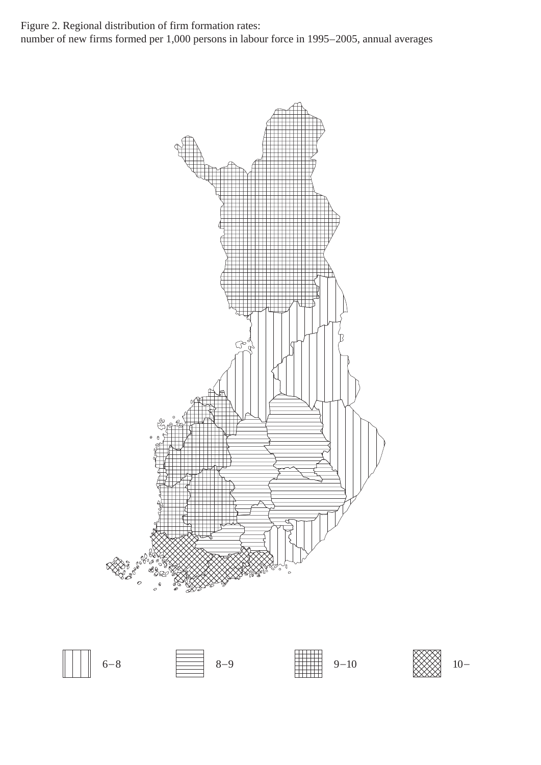Figure 2. Regional distribution of firm formation rates: number of new firms formed per 1,000 persons in labour force in 1995–2005, annual averages





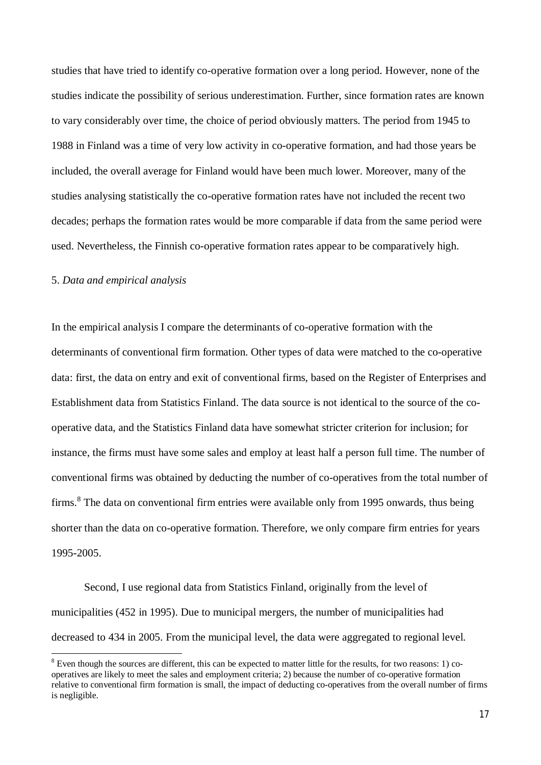studies that have tried to identify co-operative formation over a long period. However, none of the studies indicate the possibility of serious underestimation. Further, since formation rates are known to vary considerably over time, the choice of period obviously matters. The period from 1945 to 1988 in Finland was a time of very low activity in co-operative formation, and had those years be included, the overall average for Finland would have been much lower. Moreover, many of the studies analysing statistically the co-operative formation rates have not included the recent two decades; perhaps the formation rates would be more comparable if data from the same period were used. Nevertheless, the Finnish co-operative formation rates appear to be comparatively high.

#### 5. *Data and empirical analysis*

 $\overline{a}$ 

In the empirical analysis I compare the determinants of co-operative formation with the determinants of conventional firm formation. Other types of data were matched to the co-operative data: first, the data on entry and exit of conventional firms, based on the Register of Enterprises and Establishment data from Statistics Finland. The data source is not identical to the source of the cooperative data, and the Statistics Finland data have somewhat stricter criterion for inclusion; for instance, the firms must have some sales and employ at least half a person full time. The number of conventional firms was obtained by deducting the number of co-operatives from the total number of firms.<sup>8</sup> The data on conventional firm entries were available only from 1995 onwards, thus being shorter than the data on co-operative formation. Therefore, we only compare firm entries for years 1995-2005.

Second, I use regional data from Statistics Finland, originally from the level of municipalities (452 in 1995). Due to municipal mergers, the number of municipalities had decreased to 434 in 2005. From the municipal level, the data were aggregated to regional level.

 $8$  Even though the sources are different, this can be expected to matter little for the results, for two reasons: 1) cooperatives are likely to meet the sales and employment criteria; 2) because the number of co-operative formation relative to conventional firm formation is small, the impact of deducting co-operatives from the overall number of firms is negligible.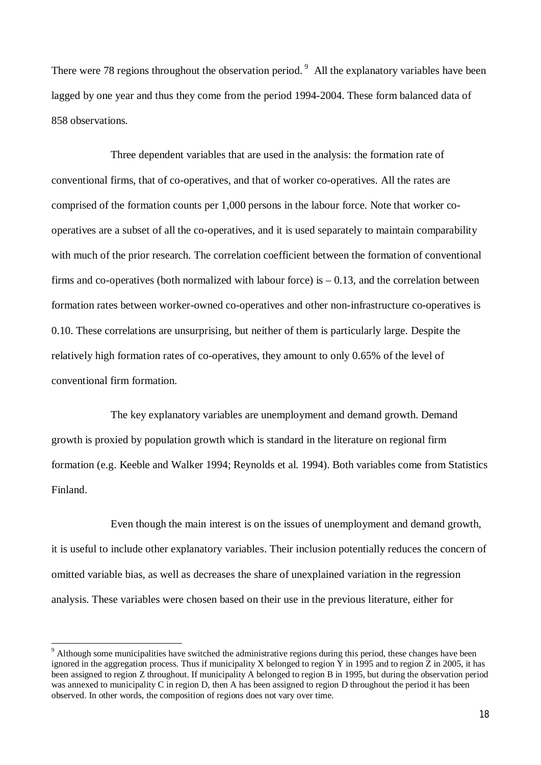There were 78 regions throughout the observation period.<sup>9</sup> All the explanatory variables have been lagged by one year and thus they come from the period 1994-2004. These form balanced data of 858 observations.

Three dependent variables that are used in the analysis: the formation rate of conventional firms, that of co-operatives, and that of worker co-operatives. All the rates are comprised of the formation counts per 1,000 persons in the labour force. Note that worker cooperatives are a subset of all the co-operatives, and it is used separately to maintain comparability with much of the prior research. The correlation coefficient between the formation of conventional firms and co-operatives (both normalized with labour force) is  $-0.13$ , and the correlation between formation rates between worker-owned co-operatives and other non-infrastructure co-operatives is 0.10. These correlations are unsurprising, but neither of them is particularly large. Despite the relatively high formation rates of co-operatives, they amount to only 0.65% of the level of conventional firm formation.

The key explanatory variables are unemployment and demand growth. Demand growth is proxied by population growth which is standard in the literature on regional firm formation (e.g. Keeble and Walker 1994; Reynolds et al. 1994). Both variables come from Statistics Finland.

Even though the main interest is on the issues of unemployment and demand growth, it is useful to include other explanatory variables. Their inclusion potentially reduces the concern of omitted variable bias, as well as decreases the share of unexplained variation in the regression analysis. These variables were chosen based on their use in the previous literature, either for

**.** 

 $9$  Although some municipalities have switched the administrative regions during this period, these changes have been ignored in the aggregation process. Thus if municipality X belonged to region  $\bar{Y}$  in 1995 and to region  $\bar{Z}$  in 2005, it has been assigned to region Z throughout. If municipality A belonged to region B in 1995, but during the observation period was annexed to municipality C in region D, then A has been assigned to region D throughout the period it has been observed. In other words, the composition of regions does not vary over time.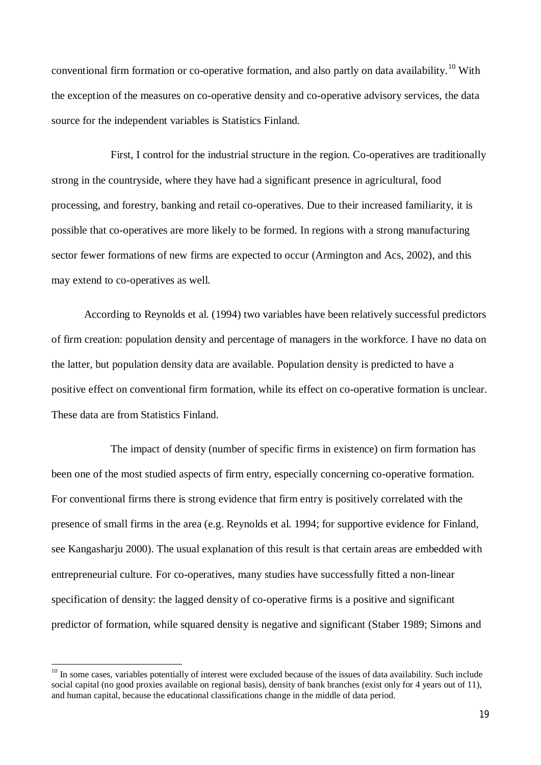conventional firm formation or co-operative formation, and also partly on data availability.<sup>10</sup> With the exception of the measures on co-operative density and co-operative advisory services, the data source for the independent variables is Statistics Finland.

First, I control for the industrial structure in the region. Co-operatives are traditionally strong in the countryside, where they have had a significant presence in agricultural, food processing, and forestry, banking and retail co-operatives. Due to their increased familiarity, it is possible that co-operatives are more likely to be formed. In regions with a strong manufacturing sector fewer formations of new firms are expected to occur (Armington and Acs, 2002), and this may extend to co-operatives as well.

According to Reynolds et al. (1994) two variables have been relatively successful predictors of firm creation: population density and percentage of managers in the workforce. I have no data on the latter, but population density data are available. Population density is predicted to have a positive effect on conventional firm formation, while its effect on co-operative formation is unclear. These data are from Statistics Finland.

The impact of density (number of specific firms in existence) on firm formation has been one of the most studied aspects of firm entry, especially concerning co-operative formation. For conventional firms there is strong evidence that firm entry is positively correlated with the presence of small firms in the area (e.g. Reynolds et al. 1994; for supportive evidence for Finland, see Kangasharju 2000). The usual explanation of this result is that certain areas are embedded with entrepreneurial culture. For co-operatives, many studies have successfully fitted a non-linear specification of density: the lagged density of co-operative firms is a positive and significant predictor of formation, while squared density is negative and significant (Staber 1989; Simons and

 $\overline{a}$ 

 $10$  In some cases, variables potentially of interest were excluded because of the issues of data availability. Such include social capital (no good proxies available on regional basis), density of bank branches (exist only for 4 years out of 11), and human capital, because the educational classifications change in the middle of data period.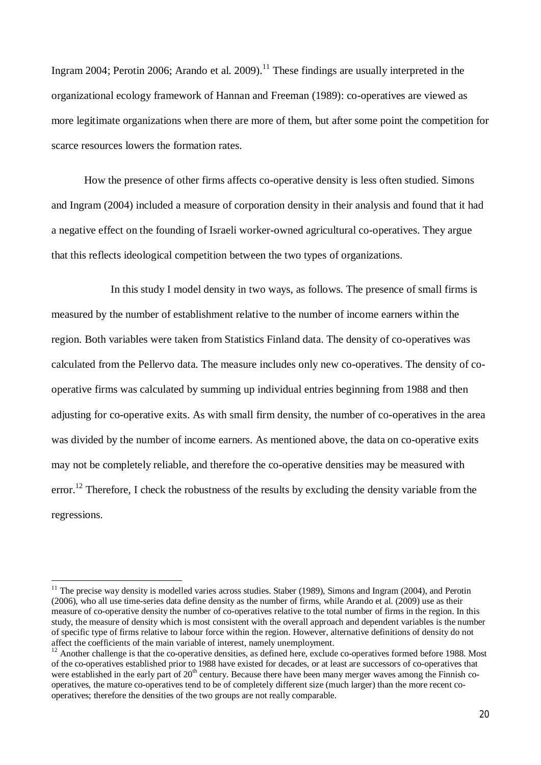Ingram 2004; Perotin 2006; Arando et al. 2009).<sup>11</sup> These findings are usually interpreted in the organizational ecology framework of Hannan and Freeman (1989): co-operatives are viewed as more legitimate organizations when there are more of them, but after some point the competition for scarce resources lowers the formation rates.

How the presence of other firms affects co-operative density is less often studied. Simons and Ingram (2004) included a measure of corporation density in their analysis and found that it had a negative effect on the founding of Israeli worker-owned agricultural co-operatives. They argue that this reflects ideological competition between the two types of organizations.

In this study I model density in two ways, as follows. The presence of small firms is measured by the number of establishment relative to the number of income earners within the region. Both variables were taken from Statistics Finland data. The density of co-operatives was calculated from the Pellervo data. The measure includes only new co-operatives. The density of cooperative firms was calculated by summing up individual entries beginning from 1988 and then adjusting for co-operative exits. As with small firm density, the number of co-operatives in the area was divided by the number of income earners. As mentioned above, the data on co-operative exits may not be completely reliable, and therefore the co-operative densities may be measured with error.<sup>12</sup> Therefore. I check the robustness of the results by excluding the density variable from the regressions.

<u>.</u>

 $11$  The precise way density is modelled varies across studies. Staber (1989), Simons and Ingram (2004), and Perotin (2006), who all use time-series data define density as the number of firms, while Arando et al. (2009) use as their measure of co-operative density the number of co-operatives relative to the total number of firms in the region. In this study, the measure of density which is most consistent with the overall approach and dependent variables is the number of specific type of firms relative to labour force within the region. However, alternative definitions of density do not affect the coefficients of the main variable of interest, namely unemployment.

 $12$  Another challenge is that the co-operative densities, as defined here, exclude co-operatives formed before 1988. Most of the co-operatives established prior to 1988 have existed for decades, or at least are successors of co-operatives that were established in the early part of  $20<sup>th</sup>$  century. Because there have been many merger waves among the Finnish cooperatives, the mature co-operatives tend to be of completely different size (much larger) than the more recent cooperatives; therefore the densities of the two groups are not really comparable.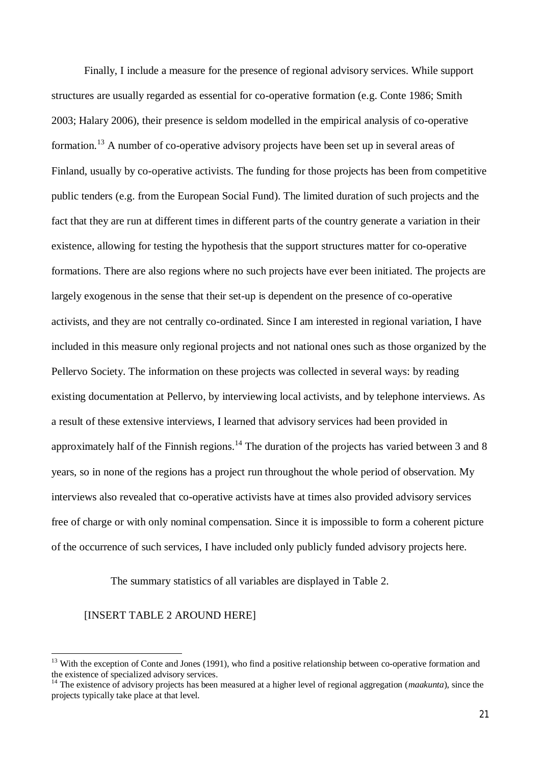Finally, I include a measure for the presence of regional advisory services. While support structures are usually regarded as essential for co-operative formation (e.g. Conte 1986; Smith 2003; Halary 2006), their presence is seldom modelled in the empirical analysis of co-operative formation.<sup>13</sup> A number of co-operative advisory projects have been set up in several areas of Finland, usually by co-operative activists. The funding for those projects has been from competitive public tenders (e.g. from the European Social Fund). The limited duration of such projects and the fact that they are run at different times in different parts of the country generate a variation in their existence, allowing for testing the hypothesis that the support structures matter for co-operative formations. There are also regions where no such projects have ever been initiated. The projects are largely exogenous in the sense that their set-up is dependent on the presence of co-operative activists, and they are not centrally co-ordinated. Since I am interested in regional variation, I have included in this measure only regional projects and not national ones such as those organized by the Pellervo Society. The information on these projects was collected in several ways: by reading existing documentation at Pellervo, by interviewing local activists, and by telephone interviews. As a result of these extensive interviews, I learned that advisory services had been provided in approximately half of the Finnish regions.<sup>14</sup> The duration of the projects has varied between 3 and 8 years, so in none of the regions has a project run throughout the whole period of observation. My interviews also revealed that co-operative activists have at times also provided advisory services free of charge or with only nominal compensation. Since it is impossible to form a coherent picture of the occurrence of such services, I have included only publicly funded advisory projects here.

The summary statistics of all variables are displayed in Table 2.

# [INSERT TABLE 2 AROUND HERE]

 $\overline{a}$ 

<sup>&</sup>lt;sup>13</sup> With the exception of Conte and Jones (1991), who find a positive relationship between co-operative formation and the existence of specialized advisory services.

<sup>14</sup> The existence of advisory projects has been measured at a higher level of regional aggregation (*maakunta*), since the projects typically take place at that level.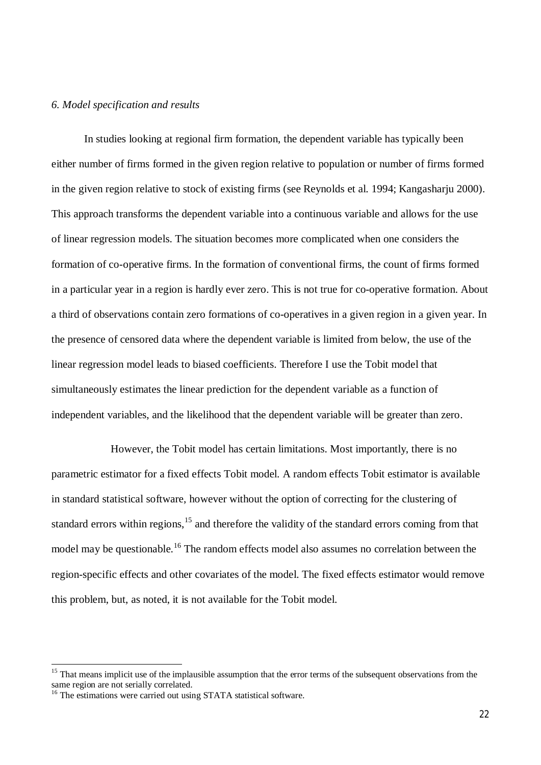#### *6. Model specification and results*

In studies looking at regional firm formation, the dependent variable has typically been either number of firms formed in the given region relative to population or number of firms formed in the given region relative to stock of existing firms (see Reynolds et al. 1994; Kangasharju 2000). This approach transforms the dependent variable into a continuous variable and allows for the use of linear regression models. The situation becomes more complicated when one considers the formation of co-operative firms. In the formation of conventional firms, the count of firms formed in a particular year in a region is hardly ever zero. This is not true for co-operative formation. About a third of observations contain zero formations of co-operatives in a given region in a given year. In the presence of censored data where the dependent variable is limited from below, the use of the linear regression model leads to biased coefficients. Therefore I use the Tobit model that simultaneously estimates the linear prediction for the dependent variable as a function of independent variables, and the likelihood that the dependent variable will be greater than zero.

However, the Tobit model has certain limitations. Most importantly, there is no parametric estimator for a fixed effects Tobit model. A random effects Tobit estimator is available in standard statistical software, however without the option of correcting for the clustering of standard errors within regions,<sup>15</sup> and therefore the validity of the standard errors coming from that model may be questionable.<sup>16</sup> The random effects model also assumes no correlation between the region-specific effects and other covariates of the model. The fixed effects estimator would remove this problem, but, as noted, it is not available for the Tobit model.

 $\overline{a}$ 

 $15$  That means implicit use of the implausible assumption that the error terms of the subsequent observations from the same region are not serially correlated.

<sup>&</sup>lt;sup>16</sup> The estimations were carried out using STATA statistical software.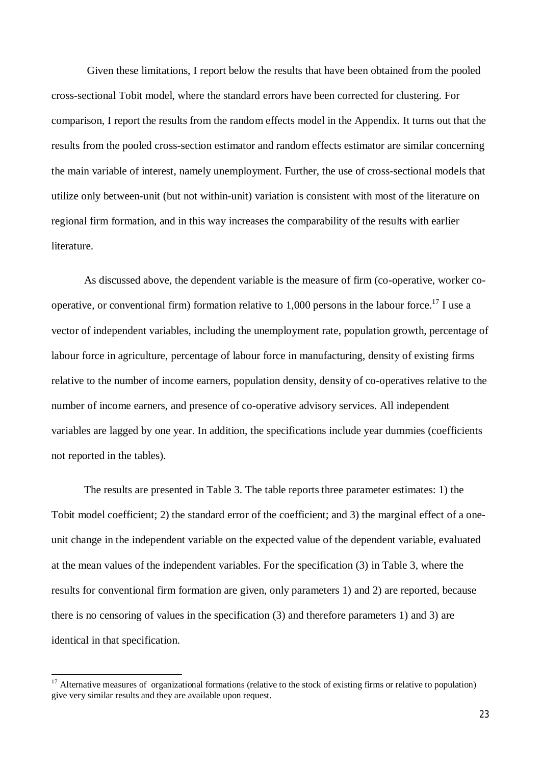Given these limitations, I report below the results that have been obtained from the pooled cross-sectional Tobit model, where the standard errors have been corrected for clustering. For comparison, I report the results from the random effects model in the Appendix. It turns out that the results from the pooled cross-section estimator and random effects estimator are similar concerning the main variable of interest, namely unemployment. Further, the use of cross-sectional models that utilize only between-unit (but not within-unit) variation is consistent with most of the literature on regional firm formation, and in this way increases the comparability of the results with earlier literature.

As discussed above, the dependent variable is the measure of firm (co-operative, worker cooperative, or conventional firm) formation relative to 1,000 persons in the labour force.<sup>17</sup> I use a vector of independent variables, including the unemployment rate, population growth, percentage of labour force in agriculture, percentage of labour force in manufacturing, density of existing firms relative to the number of income earners, population density, density of co-operatives relative to the number of income earners, and presence of co-operative advisory services. All independent variables are lagged by one year. In addition, the specifications include year dummies (coefficients not reported in the tables).

The results are presented in Table 3. The table reports three parameter estimates: 1) the Tobit model coefficient; 2) the standard error of the coefficient; and 3) the marginal effect of a oneunit change in the independent variable on the expected value of the dependent variable, evaluated at the mean values of the independent variables. For the specification (3) in Table 3, where the results for conventional firm formation are given, only parameters 1) and 2) are reported, because there is no censoring of values in the specification (3) and therefore parameters 1) and 3) are identical in that specification.

<u>.</u>

<sup>&</sup>lt;sup>17</sup> Alternative measures of organizational formations (relative to the stock of existing firms or relative to population) give very similar results and they are available upon request.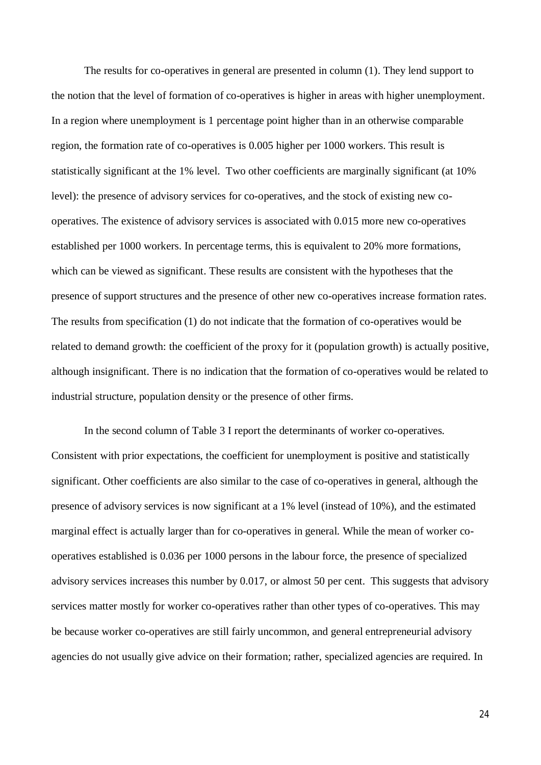The results for co-operatives in general are presented in column (1). They lend support to the notion that the level of formation of co-operatives is higher in areas with higher unemployment. In a region where unemployment is 1 percentage point higher than in an otherwise comparable region, the formation rate of co-operatives is 0.005 higher per 1000 workers. This result is statistically significant at the 1% level. Two other coefficients are marginally significant (at 10% level): the presence of advisory services for co-operatives, and the stock of existing new cooperatives. The existence of advisory services is associated with 0.015 more new co-operatives established per 1000 workers. In percentage terms, this is equivalent to 20% more formations, which can be viewed as significant. These results are consistent with the hypotheses that the presence of support structures and the presence of other new co-operatives increase formation rates. The results from specification (1) do not indicate that the formation of co-operatives would be related to demand growth: the coefficient of the proxy for it (population growth) is actually positive, although insignificant. There is no indication that the formation of co-operatives would be related to industrial structure, population density or the presence of other firms.

In the second column of Table 3 I report the determinants of worker co-operatives. Consistent with prior expectations, the coefficient for unemployment is positive and statistically significant. Other coefficients are also similar to the case of co-operatives in general, although the presence of advisory services is now significant at a 1% level (instead of 10%), and the estimated marginal effect is actually larger than for co-operatives in general. While the mean of worker cooperatives established is 0.036 per 1000 persons in the labour force, the presence of specialized advisory services increases this number by 0.017, or almost 50 per cent. This suggests that advisory services matter mostly for worker co-operatives rather than other types of co-operatives. This may be because worker co-operatives are still fairly uncommon, and general entrepreneurial advisory agencies do not usually give advice on their formation; rather, specialized agencies are required. In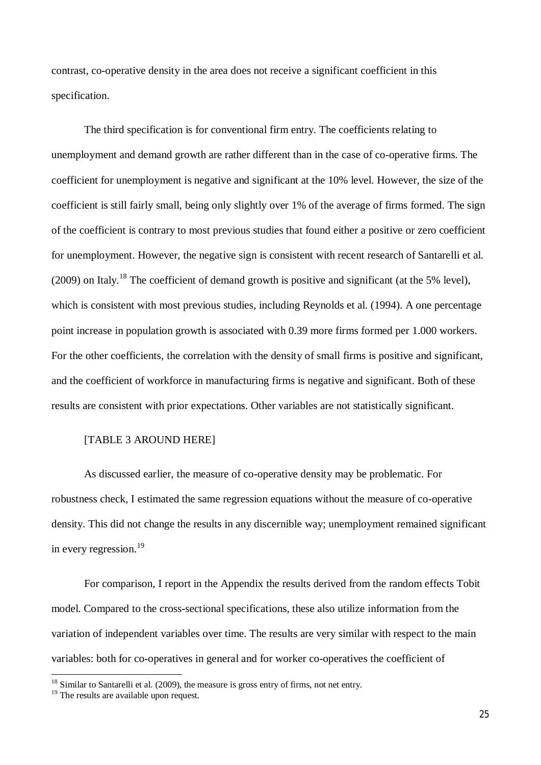contrast, co-operative density in the area does not receive a significant coefficient in this specification.

The third specification is for conventional firm entry. The coefficients relating to unemployment and demand growth are rather different than in the case of co-operative firms. The coefficient for unemployment is negative and significant at the 10% level. However, the size of the coefficient is still fairly small, being only slightly over 1% of the average of firms formed. The sign of the coefficient is contrary to most previous studies that found either a positive or zero coefficient for unemployment. However, the negative sign is consistent with recent research of Santarelli et al. (2009) on Italy.<sup>18</sup> The coefficient of demand growth is positive and significant (at the 5% level), which is consistent with most previous studies, including Reynolds et al. (1994). A one percentage point increase in population growth is associated with 0.39 more firms formed per 1.000 workers. For the other coefficients, the correlation with the density of small firms is positive and significant, and the coefficient of workforce in manufacturing firms is negative and significant. Both of these results are consistent with prior expectations. Other variables are not statistically significant.

#### [TABLE 3 AROUND HERE]

As discussed earlier, the measure of co-operative density may be problematic. For robustness check, I estimated the same regression equations without the measure of co-operative density. This did not change the results in any discernible way; unemployment remained significant in every regression.<sup>19</sup>

For comparison, I report in the Appendix the results derived from the random effects Tobit model. Compared to the cross-sectional specifications, these also utilize information from the variation of independent variables over time. The results are very similar with respect to the main variables: both for co-operatives in general and for worker co-operatives the coefficient of

<u>.</u>

 $18$  Similar to Santarelli et al. (2009), the measure is gross entry of firms, not net entry.

<sup>&</sup>lt;sup>19</sup> The results are available upon request.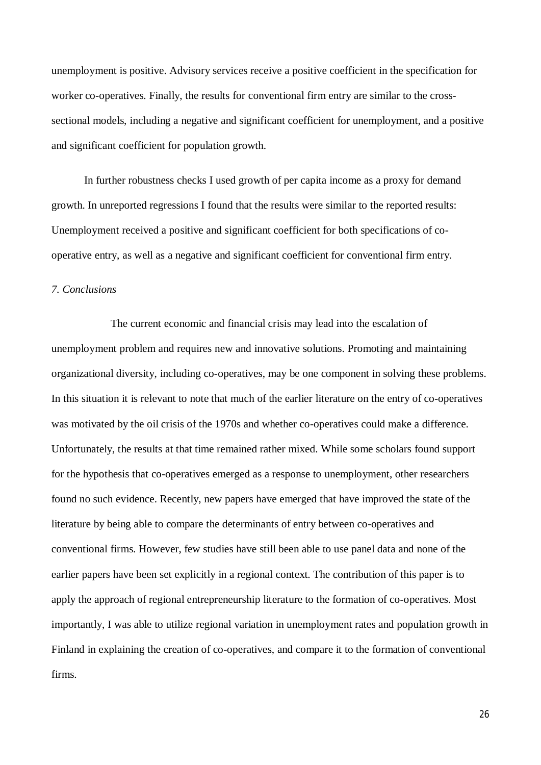unemployment is positive. Advisory services receive a positive coefficient in the specification for worker co-operatives. Finally, the results for conventional firm entry are similar to the crosssectional models, including a negative and significant coefficient for unemployment, and a positive and significant coefficient for population growth.

In further robustness checks I used growth of per capita income as a proxy for demand growth. In unreported regressions I found that the results were similar to the reported results: Unemployment received a positive and significant coefficient for both specifications of cooperative entry, as well as a negative and significant coefficient for conventional firm entry.

## *7. Conclusions*

The current economic and financial crisis may lead into the escalation of unemployment problem and requires new and innovative solutions. Promoting and maintaining organizational diversity, including co-operatives, may be one component in solving these problems. In this situation it is relevant to note that much of the earlier literature on the entry of co-operatives was motivated by the oil crisis of the 1970s and whether co-operatives could make a difference. Unfortunately, the results at that time remained rather mixed. While some scholars found support for the hypothesis that co-operatives emerged as a response to unemployment, other researchers found no such evidence. Recently, new papers have emerged that have improved the state of the literature by being able to compare the determinants of entry between co-operatives and conventional firms. However, few studies have still been able to use panel data and none of the earlier papers have been set explicitly in a regional context. The contribution of this paper is to apply the approach of regional entrepreneurship literature to the formation of co-operatives. Most importantly, I was able to utilize regional variation in unemployment rates and population growth in Finland in explaining the creation of co-operatives, and compare it to the formation of conventional firms.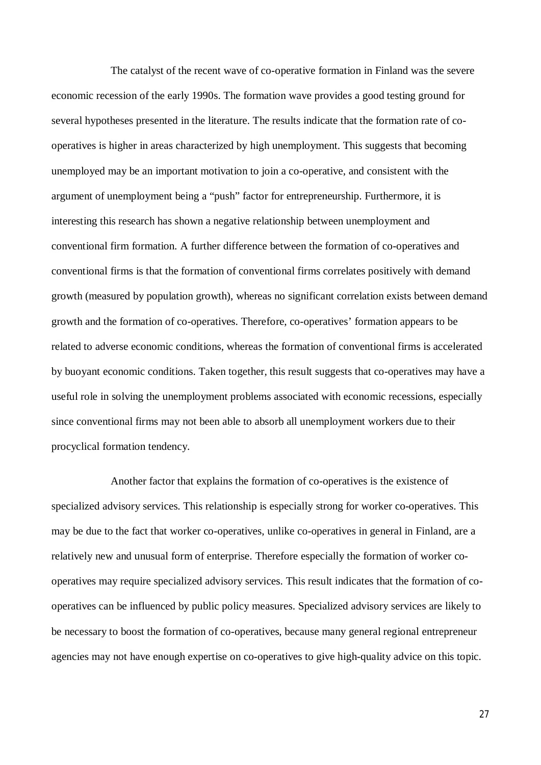The catalyst of the recent wave of co-operative formation in Finland was the severe economic recession of the early 1990s. The formation wave provides a good testing ground for several hypotheses presented in the literature. The results indicate that the formation rate of cooperatives is higher in areas characterized by high unemployment. This suggests that becoming unemployed may be an important motivation to join a co-operative, and consistent with the argument of unemployment being a "push" factor for entrepreneurship. Furthermore, it is interesting this research has shown a negative relationship between unemployment and conventional firm formation. A further difference between the formation of co-operatives and conventional firms is that the formation of conventional firms correlates positively with demand growth (measured by population growth), whereas no significant correlation exists between demand growth and the formation of co-operatives. Therefore, co-operatives' formation appears to be related to adverse economic conditions, whereas the formation of conventional firms is accelerated by buoyant economic conditions. Taken together, this result suggests that co-operatives may have a useful role in solving the unemployment problems associated with economic recessions, especially since conventional firms may not been able to absorb all unemployment workers due to their procyclical formation tendency.

Another factor that explains the formation of co-operatives is the existence of specialized advisory services. This relationship is especially strong for worker co-operatives. This may be due to the fact that worker co-operatives, unlike co-operatives in general in Finland, are a relatively new and unusual form of enterprise. Therefore especially the formation of worker cooperatives may require specialized advisory services. This result indicates that the formation of cooperatives can be influenced by public policy measures. Specialized advisory services are likely to be necessary to boost the formation of co-operatives, because many general regional entrepreneur agencies may not have enough expertise on co-operatives to give high-quality advice on this topic.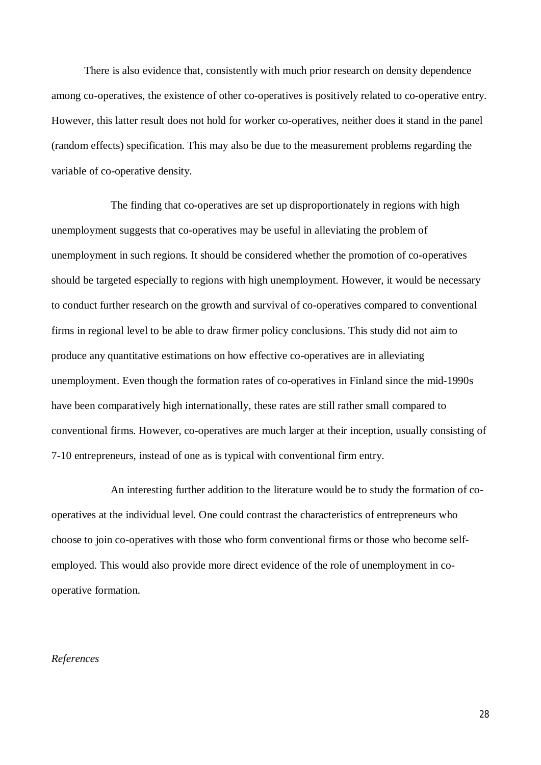There is also evidence that, consistently with much prior research on density dependence among co-operatives, the existence of other co-operatives is positively related to co-operative entry. However, this latter result does not hold for worker co-operatives, neither does it stand in the panel (random effects) specification. This may also be due to the measurement problems regarding the variable of co-operative density.

The finding that co-operatives are set up disproportionately in regions with high unemployment suggests that co-operatives may be useful in alleviating the problem of unemployment in such regions. It should be considered whether the promotion of co-operatives should be targeted especially to regions with high unemployment. However, it would be necessary to conduct further research on the growth and survival of co-operatives compared to conventional firms in regional level to be able to draw firmer policy conclusions. This study did not aim to produce any quantitative estimations on how effective co-operatives are in alleviating unemployment. Even though the formation rates of co-operatives in Finland since the mid-1990s have been comparatively high internationally, these rates are still rather small compared to conventional firms. However, co-operatives are much larger at their inception, usually consisting of 7-10 entrepreneurs, instead of one as is typical with conventional firm entry.

An interesting further addition to the literature would be to study the formation of cooperatives at the individual level. One could contrast the characteristics of entrepreneurs who choose to join co-operatives with those who form conventional firms or those who become selfemployed. This would also provide more direct evidence of the role of unemployment in cooperative formation.

### *References*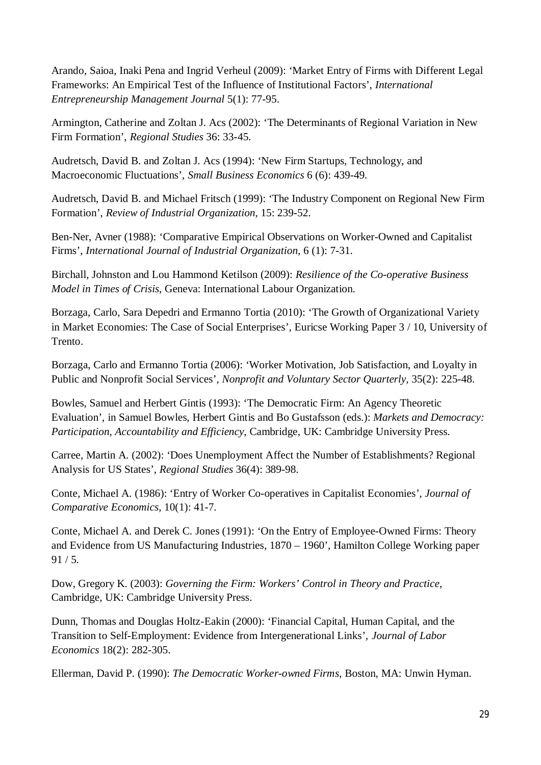Arando, Saioa, Inaki Pena and Ingrid Verheul (2009): 'Market Entry of Firms with Different Legal Frameworks: An Empirical Test of the Influence of Institutional Factors', *International Entrepreneurship Management Journal* 5(1): 77-95.

Armington, Catherine and Zoltan J. Acs (2002): 'The Determinants of Regional Variation in New Firm Formation', *Regional Studies* 36: 33-45.

Audretsch, David B. and Zoltan J. Acs (1994): 'New Firm Startups, Technology, and Macroeconomic Fluctuations', *Small Business Economics* 6 (6): 439-49.

Audretsch, David B. and Michael Fritsch (1999): 'The Industry Component on Regional New Firm Formation', *Review of Industrial Organization*, 15: 239-52.

Ben-Ner, Avner (1988): 'Comparative Empirical Observations on Worker-Owned and Capitalist Firms', *International Journal of Industrial Organization*, 6 (1): 7-31.

Birchall, Johnston and Lou Hammond Ketilson (2009): *Resilience of the Co-operative Business Model in Times of Crisis*, Geneva: International Labour Organization.

Borzaga, Carlo, Sara Depedri and Ermanno Tortia (2010): 'The Growth of Organizational Variety in Market Economies: The Case of Social Enterprises', Euricse Working Paper 3 / 10, University of Trento.

Borzaga, Carlo and Ermanno Tortia (2006): 'Worker Motivation, Job Satisfaction, and Loyalty in Public and Nonprofit Social Services', *Nonprofit and Voluntary Sector Quarterly,* 35(2): 225-48.

Bowles, Samuel and Herbert Gintis (1993): 'The Democratic Firm: An Agency Theoretic Evaluation', in Samuel Bowles, Herbert Gintis and Bo Gustafsson (eds.): *Markets and Democracy: Participation, Accountability and Efficiency*, Cambridge, UK: Cambridge University Press.

Carree, Martin A. (2002): 'Does Unemployment Affect the Number of Establishments? Regional Analysis for US States', *Regional Studies* 36(4): 389-98.

Conte, Michael A. (1986): 'Entry of Worker Co-operatives in Capitalist Economies', *Journal of Comparative Economics*, 10(1): 41-7.

Conte, Michael A. and Derek C. Jones (1991): 'On the Entry of Employee-Owned Firms: Theory and Evidence from US Manufacturing Industries, 1870 – 1960', Hamilton College Working paper 91 / 5.

Dow, Gregory K. (2003): *Governing the Firm: Workers' Control in Theory and Practice*, Cambridge, UK: Cambridge University Press.

Dunn, Thomas and Douglas Holtz-Eakin (2000): 'Financial Capital, Human Capital, and the Transition to Self-Employment: Evidence from Intergenerational Links', *Journal of Labor Economics* 18(2): 282-305.

Ellerman, David P. (1990): *The Democratic Worker-owned Firms,* Boston, MA: Unwin Hyman.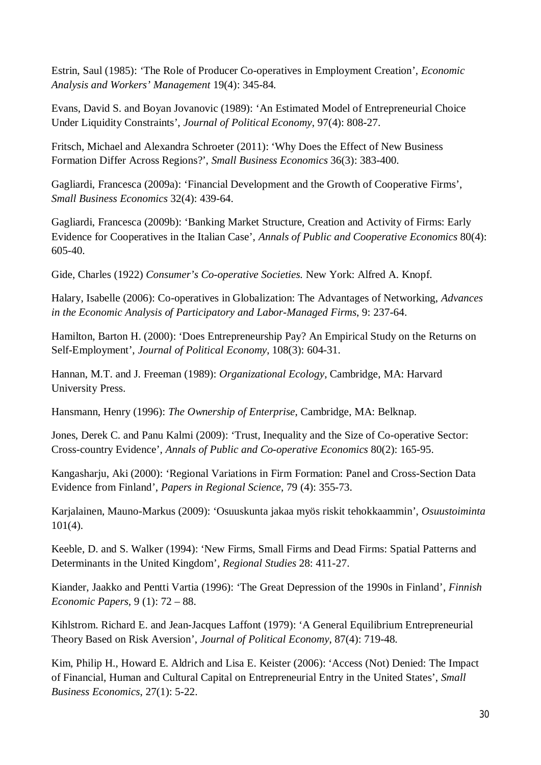Estrin, Saul (1985): 'The Role of Producer Co-operatives in Employment Creation', *Economic Analysis and Workers' Management* 19(4): 345-84.

Evans, David S. and Boyan Jovanovic (1989): 'An Estimated Model of Entrepreneurial Choice Under Liquidity Constraints', *Journal of Political Economy*, 97(4): 808-27.

Fritsch, Michael and Alexandra Schroeter (2011): 'Why Does the Effect of New Business Formation Differ Across Regions?', *Small Business Economics* 36(3): 383-400.

Gagliardi, Francesca (2009a): 'Financial Development and the Growth of Cooperative Firms', *Small Business Economics* 32(4): 439-64.

Gagliardi, Francesca (2009b): 'Banking Market Structure, Creation and Activity of Firms: Early Evidence for Cooperatives in the Italian Case', *Annals of Public and Cooperative Economics* 80(4): 605-40.

Gide, Charles (1922) *Consumer's Co-operative Societies.* New York: Alfred A. Knopf.

Halary, Isabelle (2006): Co-operatives in Globalization: The Advantages of Networking, *Advances in the Economic Analysis of Participatory and Labor-Managed Firms*, 9: 237-64.

Hamilton, Barton H. (2000): 'Does Entrepreneurship Pay? An Empirical Study on the Returns on Self-Employment', *Journal of Political Economy*, 108(3): 604-31.

Hannan, M.T. and J. Freeman (1989): *Organizational Ecology*, Cambridge, MA: Harvard University Press.

Hansmann, Henry (1996): *The Ownership of Enterprise*, Cambridge, MA: Belknap.

Jones, Derek C. and Panu Kalmi (2009): 'Trust, Inequality and the Size of Co-operative Sector: Cross-country Evidence', *Annals of Public and Co-operative Economics* 80(2): 165-95.

Kangasharju, Aki (2000): 'Regional Variations in Firm Formation: Panel and Cross-Section Data Evidence from Finland', *Papers in Regional Science*, 79 (4): 355-73.

Karjalainen, Mauno-Markus (2009): 'Osuuskunta jakaa myös riskit tehokkaammin', *Osuustoiminta*  101(4).

Keeble, D. and S. Walker (1994): 'New Firms, Small Firms and Dead Firms: Spatial Patterns and Determinants in the United Kingdom', *Regional Studies* 28: 411-27.

Kiander, Jaakko and Pentti Vartia (1996): 'The Great Depression of the 1990s in Finland', *Finnish Economic Papers,* 9 (1): 72 – 88.

Kihlstrom. Richard E. and Jean-Jacques Laffont (1979): 'A General Equilibrium Entrepreneurial Theory Based on Risk Aversion', *Journal of Political Economy*, 87(4): 719-48.

Kim, Philip H., Howard E. Aldrich and Lisa E. Keister (2006): 'Access (Not) Denied: The Impact of Financial, Human and Cultural Capital on Entrepreneurial Entry in the United States', *Small Business Economics*, 27(1): 5-22.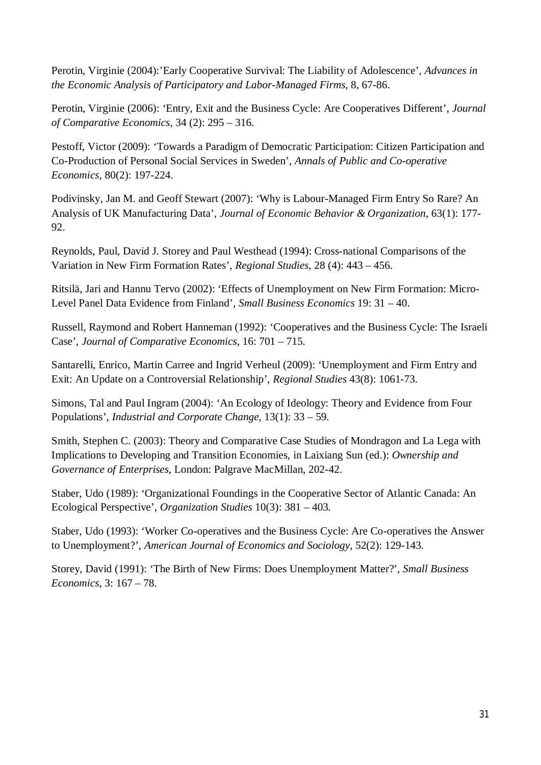Perotin, Virginie (2004):'Early Cooperative Survival: The Liability of Adolescence', *Advances in the Economic Analysis of Participatory and Labor-Managed Firms*, 8, 67-86.

Perotin, Virginie (2006): 'Entry, Exit and the Business Cycle: Are Cooperatives Different', *Journal of Comparative Economics*, 34 (2): 295 – 316.

Pestoff, Victor (2009): 'Towards a Paradigm of Democratic Participation: Citizen Participation and Co-Production of Personal Social Services in Sweden', *Annals of Public and Co-operative Economics,* 80(2): 197-224.

Podivinsky, Jan M. and Geoff Stewart (2007): 'Why is Labour-Managed Firm Entry So Rare? An Analysis of UK Manufacturing Data', *Journal of Economic Behavior & Organization*, 63(1): 177- 92.

Reynolds, Paul, David J. Storey and Paul Westhead (1994): Cross-national Comparisons of the Variation in New Firm Formation Rates', *Regional Studies*, 28 (4): 443 – 456.

Ritsilä, Jari and Hannu Tervo (2002): 'Effects of Unemployment on New Firm Formation: Micro-Level Panel Data Evidence from Finland', *Small Business Economics* 19: 31 – 40.

Russell, Raymond and Robert Hanneman (1992): 'Cooperatives and the Business Cycle: The Israeli Case', *Journal of Comparative Economics*, 16: 701 – 715.

Santarelli, Enrico, Martin Carree and Ingrid Verheul (2009): 'Unemployment and Firm Entry and Exit: An Update on a Controversial Relationship', *Regional Studies* 43(8): 1061-73.

Simons, Tal and Paul Ingram (2004): 'An Ecology of Ideology: Theory and Evidence from Four Populations', *Industrial and Corporate Change*, 13(1): 33 – 59.

Smith, Stephen C. (2003): Theory and Comparative Case Studies of Mondragon and La Lega with Implications to Developing and Transition Economies, in Laixiang Sun (ed.): *Ownership and Governance of Enterprises*, London: Palgrave MacMillan, 202-42.

Staber, Udo (1989): 'Organizational Foundings in the Cooperative Sector of Atlantic Canada: An Ecological Perspective', *Organization Studies* 10(3): 381 – 403.

Staber, Udo (1993): 'Worker Co-operatives and the Business Cycle: Are Co-operatives the Answer to Unemployment?', *American Journal of Economics and Sociology*, 52(2): 129-143.

Storey, David (1991): 'The Birth of New Firms: Does Unemployment Matter?', *Small Business Economics*, 3: 167 – 78.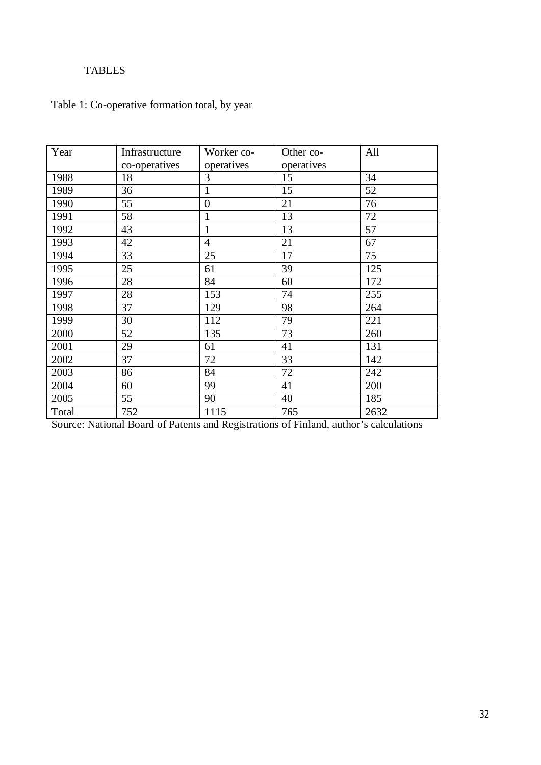# TABLES

# Table 1: Co-operative formation total, by year

| Year  | Infrastructure | Worker co-     | Other co-  | All  |
|-------|----------------|----------------|------------|------|
|       | co-operatives  | operatives     | operatives |      |
| 1988  | 18             | 3              | 15         | 34   |
| 1989  | 36             | $\mathbf{1}$   | 15         | 52   |
| 1990  | 55             | $\overline{0}$ | 21         | 76   |
| 1991  | 58             | $\mathbf{1}$   | 13         | 72   |
| 1992  | 43             | $\mathbf{1}$   | 13         | 57   |
| 1993  | 42             | $\overline{4}$ | 21         | 67   |
| 1994  | 33             | 25             | 17         | 75   |
| 1995  | 25             | 61             | 39         | 125  |
| 1996  | 28             | 84             | 60         | 172  |
| 1997  | 28             | 153            | 74         | 255  |
| 1998  | 37             | 129            | 98         | 264  |
| 1999  | 30             | 112            | 79         | 221  |
| 2000  | 52             | 135            | 73         | 260  |
| 2001  | 29             | 61             | 41         | 131  |
| 2002  | 37             | 72             | 33         | 142  |
| 2003  | 86             | 84             | 72         | 242  |
| 2004  | 60             | 99             | 41         | 200  |
| 2005  | 55             | 90             | 40         | 185  |
| Total | 752            | 1115           | 765        | 2632 |

Source: National Board of Patents and Registrations of Finland, author's calculations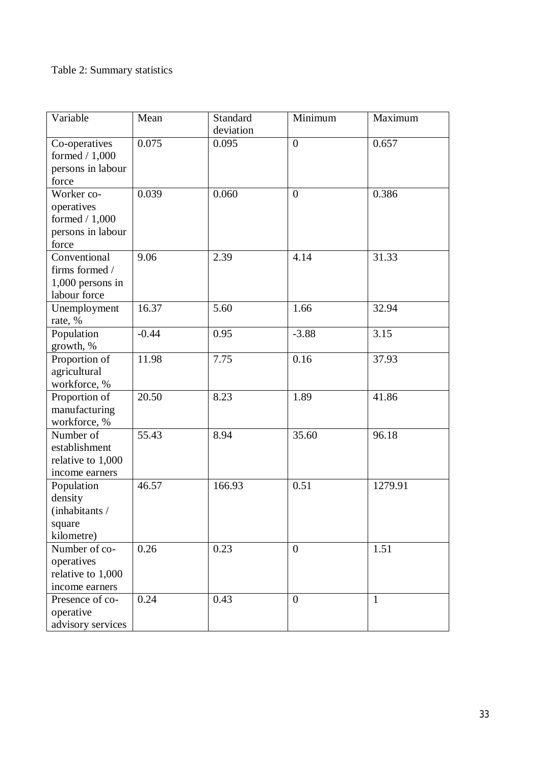# Table 2: Summary statistics

| Variable           | Mean    | Standard  | Minimum        | Maximum      |
|--------------------|---------|-----------|----------------|--------------|
|                    |         | deviation |                |              |
| Co-operatives      | 0.075   | 0.095     | $\overline{0}$ | 0.657        |
| formed $/ 1,000$   |         |           |                |              |
| persons in labour  |         |           |                |              |
| force              |         |           |                |              |
| Worker co-         | 0.039   | 0.060     | $\overline{0}$ | 0.386        |
| operatives         |         |           |                |              |
| formed $/ 1,000$   |         |           |                |              |
| persons in labour  |         |           |                |              |
| force              |         |           |                |              |
| Conventional       | 9.06    | 2.39      | 4.14           | 31.33        |
| firms formed /     |         |           |                |              |
| $1,000$ persons in |         |           |                |              |
| labour force       |         |           |                |              |
| Unemployment       | 16.37   | 5.60      | 1.66           | 32.94        |
| rate, %            |         |           |                |              |
| Population         | $-0.44$ | 0.95      | $-3.88$        | 3.15         |
| growth, %          |         |           |                |              |
| Proportion of      | 11.98   | 7.75      | 0.16           | 37.93        |
| agricultural       |         |           |                |              |
| workforce, %       |         |           |                |              |
| Proportion of      | 20.50   | 8.23      | 1.89           | 41.86        |
| manufacturing      |         |           |                |              |
| workforce, %       |         |           |                |              |
| Number of          | 55.43   | 8.94      | 35.60          | 96.18        |
| establishment      |         |           |                |              |
| relative to 1,000  |         |           |                |              |
| income earners     |         |           |                |              |
| Population         | 46.57   | 166.93    | 0.51           | 1279.91      |
| density            |         |           |                |              |
| (inhabitants/      |         |           |                |              |
| square             |         |           |                |              |
| kilometre)         |         |           |                |              |
| Number of co-      | 0.26    | 0.23      | $\overline{0}$ | 1.51         |
| operatives         |         |           |                |              |
| relative to 1,000  |         |           |                |              |
| income earners     |         |           |                |              |
| Presence of co-    | 0.24    | 0.43      | $\overline{0}$ | $\mathbf{1}$ |
| operative          |         |           |                |              |
| advisory services  |         |           |                |              |
|                    |         |           |                |              |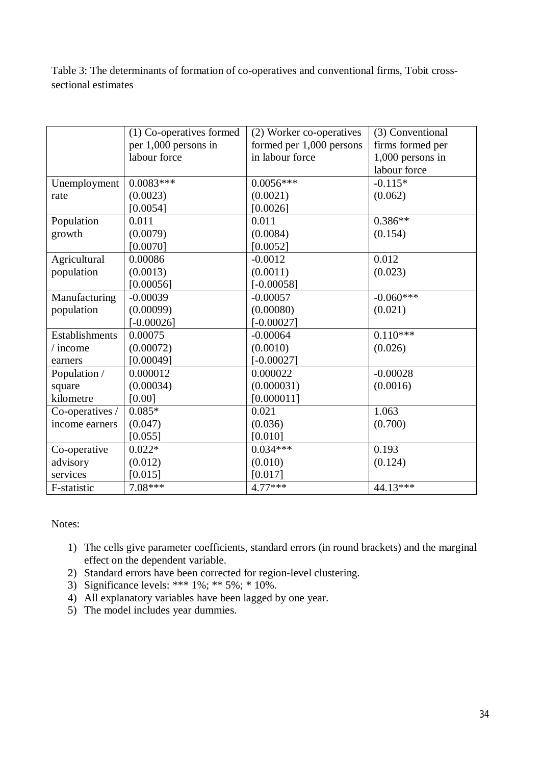Table 3: The determinants of formation of co-operatives and conventional firms, Tobit crosssectional estimates

|                 | (1) Co-operatives formed | (2) Worker co-operatives | (3) Conventional |
|-----------------|--------------------------|--------------------------|------------------|
|                 | per 1,000 persons in     | formed per 1,000 persons | firms formed per |
|                 | labour force             | in labour force          | 1,000 persons in |
|                 |                          |                          | labour force     |
| Unemployment    | $0.0083***$              | $0.0056***$              | $-0.115*$        |
| rate            | (0.0023)                 | (0.0021)                 | (0.062)          |
|                 | [0.0054]                 | [0.0026]                 |                  |
| Population      | 0.011                    | 0.011                    | $0.386**$        |
| growth          | (0.0079)                 | (0.0084)                 | (0.154)          |
|                 | [0.0070]                 | [0.0052]                 |                  |
| Agricultural    | 0.00086                  | $-0.0012$                | 0.012            |
| population      | (0.0013)                 | (0.0011)                 | (0.023)          |
|                 | [0.00056]                | $[-0.00058]$             |                  |
| Manufacturing   | $-0.00039$               | $-0.00057$               | $-0.060***$      |
| population      | (0.00099)                | (0.00080)                | (0.021)          |
|                 | $[-0.00026]$             | $[-0.00027]$             |                  |
| Establishments  | 0.00075                  | $-0.00064$               | $0.110***$       |
| / income        | (0.00072)                | (0.0010)                 | (0.026)          |
| earners         | [0.00049]                | $[-0.00027]$             |                  |
| Population /    | 0.000012                 | 0.000022                 | $-0.00028$       |
| square          | (0.00034)                | (0.000031)               | (0.0016)         |
| kilometre       | [0.00]                   | [0.000011]               |                  |
| Co-operatives / | $0.085*$                 | 0.021                    | 1.063            |
| income earners  | (0.047)                  | (0.036)                  | (0.700)          |
|                 | [0.055]                  | [0.010]                  |                  |
| Co-operative    | $\overline{0.022*}$      | $0.034***$               | 0.193            |
| advisory        | (0.012)                  | (0.010)                  | (0.124)          |
| services        | [0.015]                  | [0.017]                  |                  |
| F-statistic     | $7.08***$                | 4.77***                  | 44.13***         |

Notes:

- 1) The cells give parameter coefficients, standard errors (in round brackets) and the marginal effect on the dependent variable.
- 2) Standard errors have been corrected for region-level clustering.
- 3) Significance levels: \*\*\*  $1\%$ ; \*\*  $5\%$ ; \*  $10\%$ .
- 4) All explanatory variables have been lagged by one year.
- 5) The model includes year dummies.